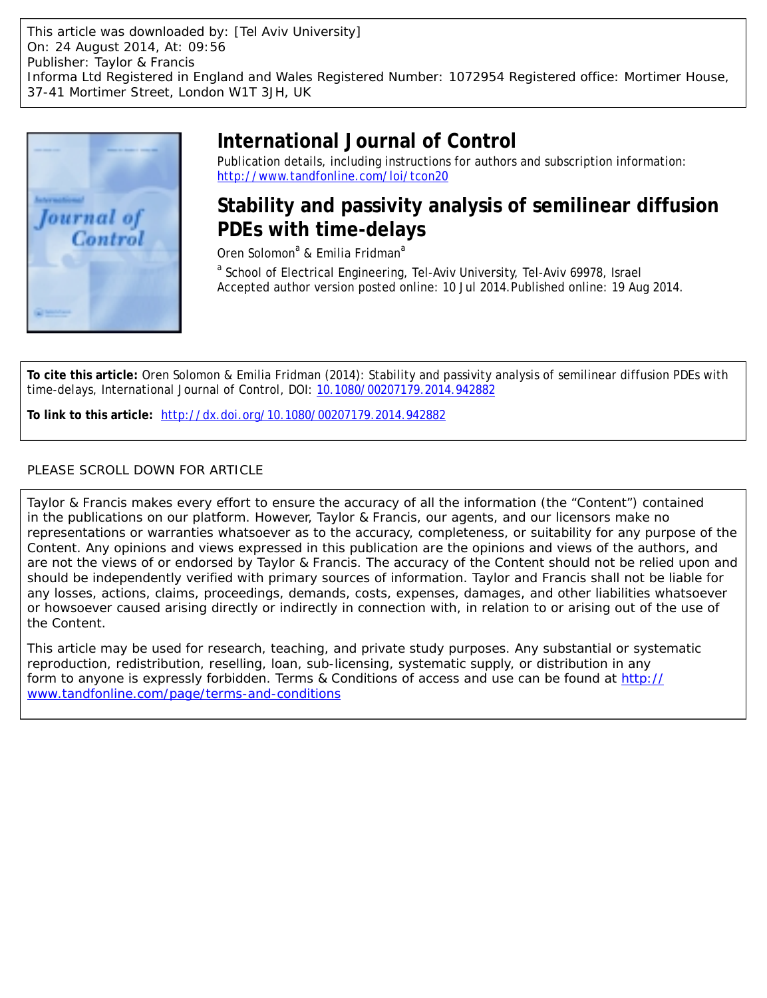This article was downloaded by: [Tel Aviv University] On: 24 August 2014, At: 09:56 Publisher: Taylor & Francis Informa Ltd Registered in England and Wales Registered Number: 1072954 Registered office: Mortimer House, 37-41 Mortimer Street, London W1T 3JH, UK



# **International Journal of Control**

Publication details, including instructions for authors and subscription information: <http://www.tandfonline.com/loi/tcon20>

## **Stability and passivity analysis of semilinear diffusion PDEs with time-delays**

Oren Solomon<sup>a</sup> & Emilia Fridman<sup>a</sup>

<sup>a</sup> School of Electrical Engineering, Tel-Aviv University, Tel-Aviv 69978, Israel Accepted author version posted online: 10 Jul 2014. Published online: 19 Aug 2014.

**To cite this article:** Oren Solomon & Emilia Fridman (2014): Stability and passivity analysis of semilinear diffusion PDEs with time-delays, International Journal of Control, DOI: [10.1080/00207179.2014.942882](http://www.tandfonline.com/action/showCitFormats?doi=10.1080/00207179.2014.942882)

**To link to this article:** <http://dx.doi.org/10.1080/00207179.2014.942882>

## PLEASE SCROLL DOWN FOR ARTICLE

Taylor & Francis makes every effort to ensure the accuracy of all the information (the "Content") contained in the publications on our platform. However, Taylor & Francis, our agents, and our licensors make no representations or warranties whatsoever as to the accuracy, completeness, or suitability for any purpose of the Content. Any opinions and views expressed in this publication are the opinions and views of the authors, and are not the views of or endorsed by Taylor & Francis. The accuracy of the Content should not be relied upon and should be independently verified with primary sources of information. Taylor and Francis shall not be liable for any losses, actions, claims, proceedings, demands, costs, expenses, damages, and other liabilities whatsoever or howsoever caused arising directly or indirectly in connection with, in relation to or arising out of the use of the Content.

This article may be used for research, teaching, and private study purposes. Any substantial or systematic reproduction, redistribution, reselling, loan, sub-licensing, systematic supply, or distribution in any form to anyone is expressly forbidden. Terms & Conditions of access and use can be found at [http://](http://www.tandfonline.com/page/terms-and-conditions) [www.tandfonline.com/page/terms-and-conditions](http://www.tandfonline.com/page/terms-and-conditions)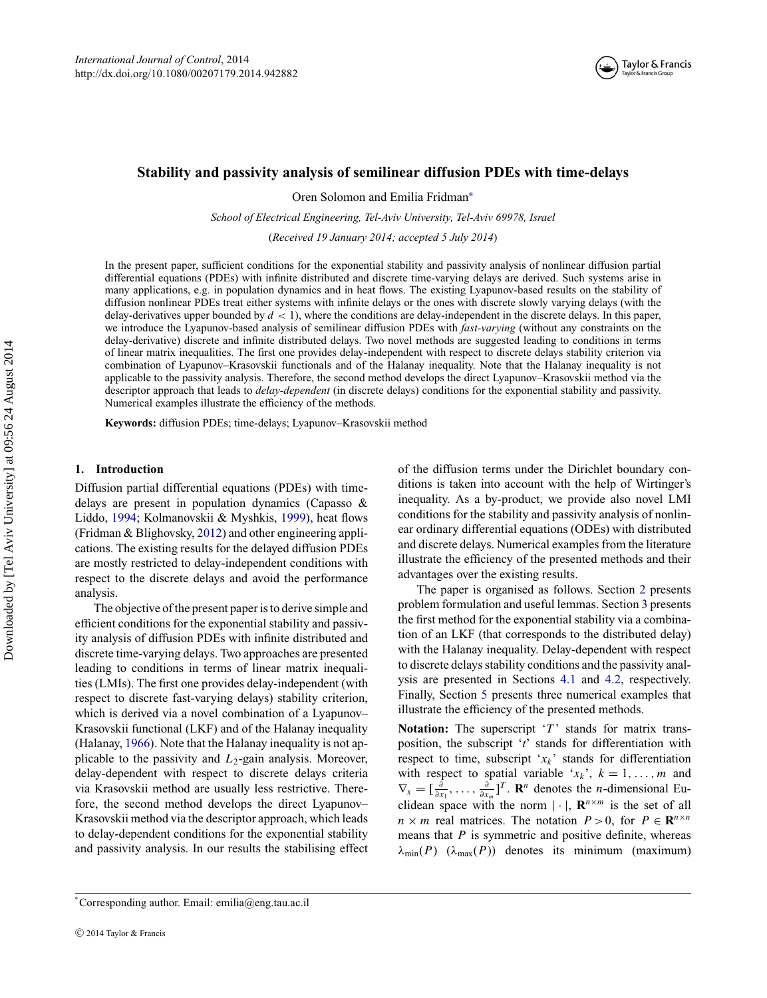

## **Stability and passivity analysis of semilinear diffusion PDEs with time-delays**

Oren Solomon and Emilia Fridman[∗](#page-1-0)

*School of Electrical Engineering, Tel-Aviv University, Tel-Aviv 69978, Israel*

(*Received 19 January 2014; accepted 5 July 2014*)

In the present paper, sufficient conditions for the exponential stability and passivity analysis of nonlinear diffusion partial differential equations (PDEs) with infinite distributed and discrete time-varying delays are derived. Such systems arise in many applications, e.g. in population dynamics and in heat flows. The existing Lyapunov-based results on the stability of diffusion nonlinear PDEs treat either systems with infinite delays or the ones with discrete slowly varying delays (with the delay-derivatives upper bounded by  $d < 1$ ), where the conditions are delay-independent in the discrete delays. In this paper, we introduce the Lyapunov-based analysis of semilinear diffusion PDEs with *fast-varying* (without any constraints on the delay-derivative) discrete and infinite distributed delays. Two novel methods are suggested leading to conditions in terms of linear matrix inequalities. The first one provides delay-independent with respect to discrete delays stability criterion via combination of Lyapunov–Krasovskii functionals and of the Halanay inequality. Note that the Halanay inequality is not applicable to the passivity analysis. Therefore, the second method develops the direct Lyapunov–Krasovskii method via the descriptor approach that leads to *delay-dependent* (in discrete delays) conditions for the exponential stability and passivity. Numerical examples illustrate the efficiency of the methods.

**Keywords:** diffusion PDEs; time-delays; Lyapunov–Krasovskii method

## **1. Introduction**

Diffusion partial differential equations (PDEs) with timedelays are present in population dynamics (Capasso & Liddo, [1994;](#page-13-0) Kolmanovskii & Myshkis, [1999\)](#page-13-1), heat flows (Fridman & Blighovsky, [2012\)](#page-13-2) and other engineering applications. The existing results for the delayed diffusion PDEs are mostly restricted to delay-independent conditions with respect to the discrete delays and avoid the performance analysis.

The objective of the present paper is to derive simple and efficient conditions for the exponential stability and passivity analysis of diffusion PDEs with infinite distributed and discrete time-varying delays. Two approaches are presented leading to conditions in terms of linear matrix inequalities (LMIs). The first one provides delay-independent (with respect to discrete fast-varying delays) stability criterion, which is derived via a novel combination of a Lyapunov– Krasovskii functional (LKF) and of the Halanay inequality (Halanay, [1966\)](#page-13-3). Note that the Halanay inequality is not applicable to the passivity and *L*2-gain analysis. Moreover, delay-dependent with respect to discrete delays criteria via Krasovskii method are usually less restrictive. Therefore, the second method develops the direct Lyapunov– Krasovskii method via the descriptor approach, which leads to delay-dependent conditions for the exponential stability and passivity analysis. In our results the stabilising effect

of the diffusion terms under the Dirichlet boundary conditions is taken into account with the help of Wirtinger's inequality. As a by-product, we provide also novel LMI conditions for the stability and passivity analysis of nonlinear ordinary differential equations (ODEs) with distributed and discrete delays. Numerical examples from the literature illustrate the efficiency of the presented methods and their advantages over the existing results.

The paper is organised as follows. Section [2](#page-2-0) presents problem formulation and useful lemmas. Section [3](#page-4-0) presents the first method for the exponential stability via a combination of an LKF (that corresponds to the distributed delay) with the Halanay inequality. Delay-dependent with respect to discrete delays stability conditions and the passivity analysis are presented in Sections [4.1](#page-6-0) and [4.2,](#page-9-0) respectively. Finally, Section [5](#page-11-0) presents three numerical examples that illustrate the efficiency of the presented methods.

**Notation:** The superscript '*T*' stands for matrix transposition, the subscript '*t*' stands for differentiation with respect to time, subscript '*xk*' stands for differentiation with respect to spatial variable ' $x_k$ ',  $k = 1, \ldots, m$  and  $\nabla_x = [\frac{\partial}{\partial x_1}, \dots, \frac{\partial}{\partial x_m}]^T$ . **R**<sup>*n*</sup> denotes the *n*-dimensional Euclidean space with the norm  $|\cdot|$ ,  $\mathbb{R}^{n \times m}$  is the set of all  $n \times m$  real matrices. The notation  $P > 0$ , for  $P \in \mathbb{R}^{n \times n}$ means that *P* is symmetric and positive definite, whereas  $\lambda_{\min}(P)$  ( $\lambda_{\max}(P)$ ) denotes its minimum (maximum)

<span id="page-1-0"></span><sup>∗</sup> Corresponding author. Email: [emilia@eng.tau.ac.il](mailto:emilia@eng.tau.ac.il)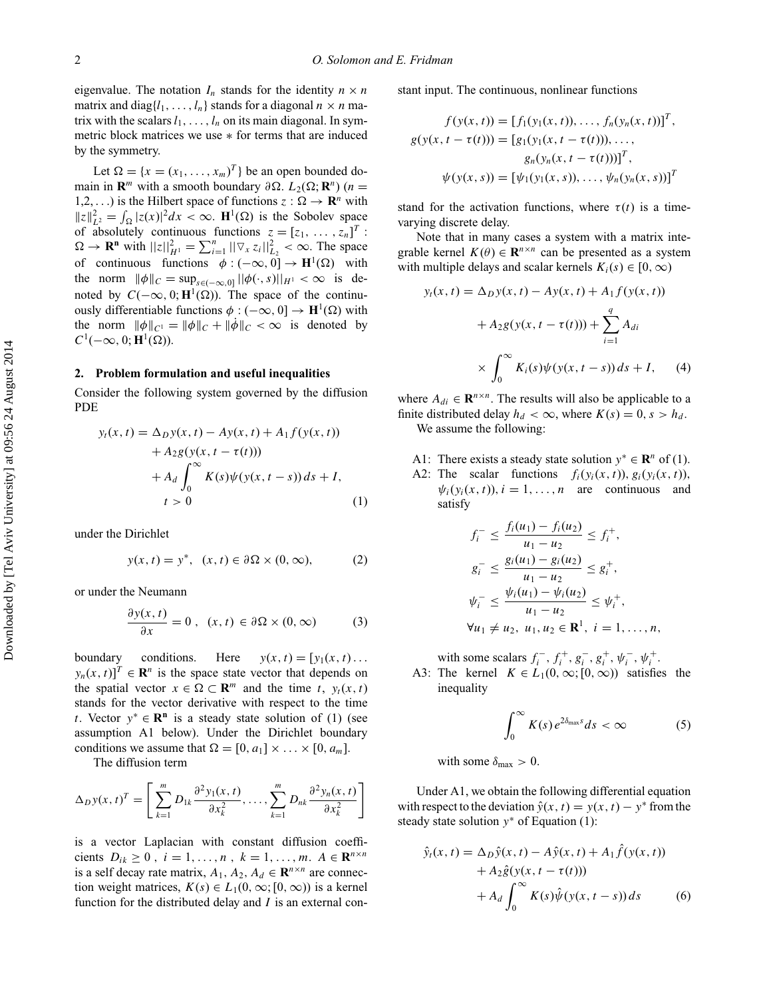eigenvalue. The notation  $I_n$  stands for the identity  $n \times n$ matrix and diag{ $l_1$ , ...,  $l_n$ } stands for a diagonal  $n \times n$  matrix with the scalars  $l_1, \ldots, l_n$  on its main diagonal. In symmetric block matrices we use ∗ for terms that are induced by the symmetry.

Let  $\Omega = \{x = (x_1, \ldots, x_m)^T\}$  be an open bounded domain in **R**<sup>*m*</sup> with a smooth boundary  $\partial \Omega$ .  $L_2(\Omega; \mathbb{R}^n)$  (*n* = 1,2, ...) is the Hilbert space of functions  $z : \Omega \to \mathbb{R}^n$  with  $||z||_{L^2}^2 = \int_{\Omega} |z(x)|^2 dx < \infty$ . **H**<sup>1</sup>( $\Omega$ ) is the Sobolev space of absolutely continuous functions  $z = [z_1, \ldots, z_n]^T$ :  $\Omega \to \mathbf{R}^n$  with  $||z||_{H^1}^2 = \sum_{i=1}^n ||\nabla_x z_i||_{L_2}^2 < \infty$ . The space of continuous functions  $\phi : (-\infty, 0] \to \mathbf{H}^1(\Omega)$  with the norm  $\|\phi\|_C = \sup_{s \in (-\infty,0]} ||\phi(\cdot,s)||_{H^1} < \infty$  is denoted by  $C(-\infty, 0; \mathbf{H}^1(\Omega))$ . The space of the continuously differentiable functions  $φ : (−∞, 0] → H<sup>1</sup>(Ω)$  with the norm  $\|\phi\|_{C^1} = \|\phi\|_C + \|\dot{\phi}\|_C < \infty$  is denoted by  $C^1(-\infty, 0; \mathbf{H}^1(\Omega)).$ 

## **2. Problem formulation and useful inequalities**

<span id="page-2-0"></span>Consider the following system governed by the diffusion PDE

$$
y_t(x, t) = \Delta_D y(x, t) - Ay(x, t) + A_1 f(y(x, t)) + A_2 g(y(x, t - \tau(t))) + A_d \int_0^\infty K(s) \psi(y(x, t - s)) ds + I, t > 0
$$
 (1)

under the Dirichlet

$$
y(x, t) = y^*, \quad (x, t) \in \partial\Omega \times (0, \infty), \tag{2}
$$

or under the Neumann

$$
\frac{\partial y(x,t)}{\partial x} = 0, \ (x,t) \in \partial \Omega \times (0,\infty) \tag{3}
$$

boundary conditions. Here  $y(x, t) = [y_1(x, t) \dots]$  $y_n(x, t)$ <sup>*T*</sup>  $\in \mathbb{R}^n$  is the space state vector that depends on the spatial vector  $x \in \Omega \subset \mathbf{R}^m$  and the time *t*,  $y_t(x, t)$ stands for the vector derivative with respect to the time *t*. Vector  $y^*$  ∈  $\mathbb{R}^n$  is a steady state solution of (1) (see assumption A1 below). Under the Dirichlet boundary conditions we assume that  $\Omega = [0, a_1] \times ... \times [0, a_m]$ .

The diffusion term

$$
\Delta_D y(x, t)^T = \left[ \sum_{k=1}^m D_{1k} \frac{\partial^2 y_1(x, t)}{\partial x_k^2}, \dots, \sum_{k=1}^m D_{nk} \frac{\partial^2 y_n(x, t)}{\partial x_k^2} \right]
$$

is a vector Laplacian with constant diffusion coefficients  $D_{ik} \ge 0$ ,  $i = 1, ..., n$ ,  $k = 1, ..., m$ .  $A \in \mathbb{R}^{n \times n}$ is a self decay rate matrix,  $A_1, A_2, A_d \in \mathbb{R}^{n \times n}$  are connection weight matrices,  $K(s) \in L_1(0, \infty; [0, \infty))$  is a kernel function for the distributed delay and *I* is an external constant input. The continuous, nonlinear functions

$$
f(y(x, t)) = [f_1(y_1(x, t)), ..., f_n(y_n(x, t))]^T,
$$
  
\n
$$
g(y(x, t - \tau(t))) = [g_1(y_1(x, t - \tau(t))), ...,
$$
  
\n
$$
g_n(y_n(x, t - \tau(t)))]^T,
$$
  
\n
$$
\psi(y(x, s)) = [\psi_1(y_1(x, s)), ..., \psi_n(y_n(x, s))]^T
$$

stand for the activation functions, where  $\tau(t)$  is a timevarying discrete delay.

Note that in many cases a system with a matrix integrable kernel  $K(\theta) \in \mathbb{R}^{n \times n}$  can be presented as a system with multiple delays and scalar kernels  $K_i(s) \in [0, \infty)$ 

$$
y_t(x, t) = \Delta_D y(x, t) - Ay(x, t) + A_1 f(y(x, t))
$$
  
+  $A_2 g(y(x, t - \tau(t))) + \sum_{i=1}^{q} A_{di}$   
 $\times \int_0^\infty K_i(s) \psi(y(x, t - s)) ds + I,$  (4)

where  $A_{di} \in \mathbf{R}^{n \times n}$ . The results will also be applicable to a finite distributed delay  $h_d < \infty$ , where  $K(s) = 0$ ,  $s > h_d$ . We assume the following:

- A1: There exists a steady state solution *y*<sup>∗</sup> ∈ **R***<sup>n</sup>* of (1).
- A2: The scalar functions  $f_i(y_i(x, t))$ ,  $g_i(y_i(x, t))$ ,  $\psi_i(y_i(x, t))$ ,  $i = 1, \ldots, n$  are continuous and satisfy

$$
f_i^- \le \frac{f_i(u_1) - f_i(u_2)}{u_1 - u_2} \le f_i^+,
$$
  
\n
$$
g_i^- \le \frac{g_i(u_1) - g_i(u_2)}{u_1 - u_2} \le g_i^+,
$$
  
\n
$$
\psi_i^- \le \frac{\psi_i(u_1) - \psi_i(u_2)}{u_1 - u_2} \le \psi_i^+,
$$
  
\n
$$
\forall u_1 \ne u_2, u_1, u_2 \in \mathbb{R}^1, i = 1, ..., n,
$$

with some scalars  $f_i^-, f_i^+, g_i^-, g_i^+, \psi_i^-, \psi_i^+$ .

A3: The kernel  $K \in L_1(0, \infty; [0, \infty))$  satisfies the inequality

$$
\int_0^\infty K(s) \, e^{2\delta_{\max}s} ds < \infty \tag{5}
$$

with some  $\delta_{\text{max}} > 0$ .

Under A1, we obtain the following differential equation with respect to the deviation  $\hat{y}(x, t) = y(x, t) - y^*$  from the steady state solution *y*<sup>∗</sup> of Equation (1):

$$
\hat{y}_t(x,t) = \Delta_D \hat{y}(x,t) - A\hat{y}(x,t) + A_1 \hat{f}(y(x,t)) \n+ A_2 \hat{g}(y(x,t-\tau(t))) \n+ A_d \int_0^\infty K(s)\hat{\psi}(y(x,t-s)) ds
$$
\n(6)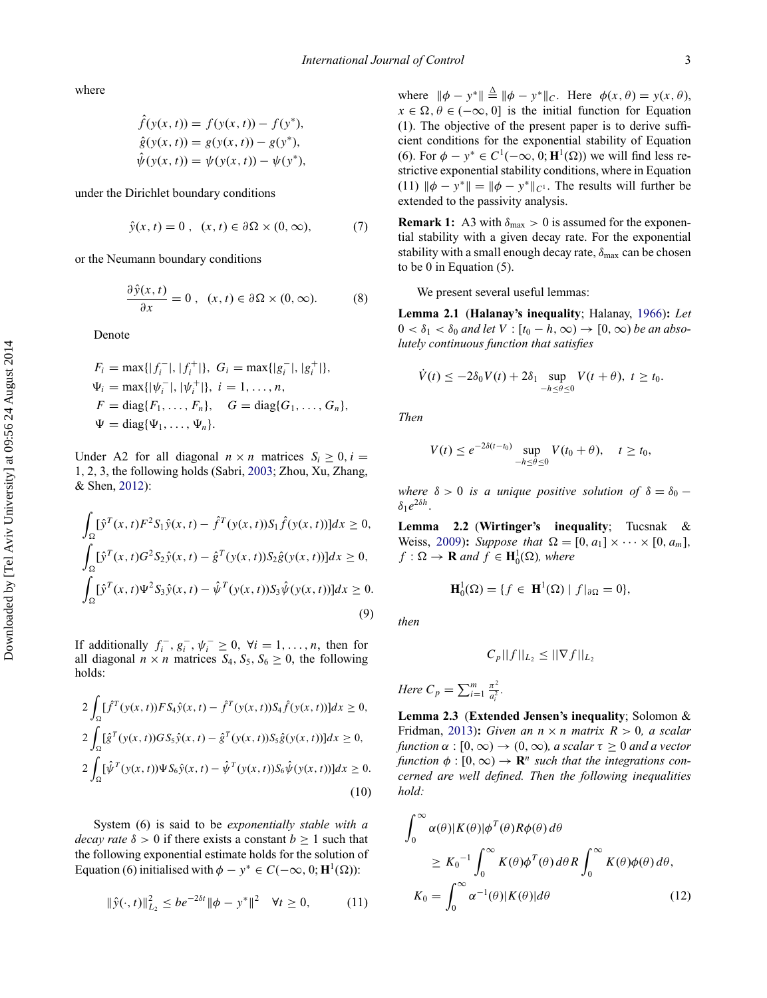where

$$
\hat{f}(y(x, t)) = f(y(x, t)) - f(y^*),
$$
  
\n
$$
\hat{g}(y(x, t)) = g(y(x, t)) - g(y^*),
$$
  
\n
$$
\hat{\psi}(y(x, t)) = \psi(y(x, t)) - \psi(y^*),
$$

under the Dirichlet boundary conditions

$$
\hat{y}(x, t) = 0, \quad (x, t) \in \partial\Omega \times (0, \infty), \tag{7}
$$

or the Neumann boundary conditions

$$
\frac{\partial \hat{y}(x,t)}{\partial x} = 0, \quad (x,t) \in \partial \Omega \times (0,\infty). \tag{8}
$$

Denote

$$
F_i = \max\{|f_i^-|, |f_i^+|\}, G_i = \max\{|g_i^-|, |g_i^+|\},
$$
  
\n
$$
\Psi_i = \max\{| \psi_i^-|, | \psi_i^+|\}, i = 1, ..., n,
$$
  
\n
$$
F = \text{diag}\{F_1, ..., F_n\}, G = \text{diag}\{G_1, ..., G_n\},
$$
  
\n
$$
\Psi = \text{diag}\{\Psi_1, ..., \Psi_n\}.
$$

Under A2 for all diagonal  $n \times n$  matrices  $S_i \geq 0, i =$ 1*,* 2*,* 3, the following holds (Sabri, [2003;](#page-13-4) Zhou, Xu, Zhang, & Shen, [2012\)](#page-13-5):

$$
\int_{\Omega} [\hat{y}^{T}(x, t)F^{2}S_{1}\hat{y}(x, t) - \hat{f}^{T}(y(x, t))S_{1}\hat{f}(y(x, t))]dx \ge 0,\n\int_{\Omega} [\hat{y}^{T}(x, t)G^{2}S_{2}\hat{y}(x, t) - \hat{g}^{T}(y(x, t))S_{2}\hat{g}(y(x, t))]dx \ge 0,\n\int_{\Omega} [\hat{y}^{T}(x, t)\Psi^{2}S_{3}\hat{y}(x, t) - \hat{\psi}^{T}(y(x, t))S_{3}\hat{\psi}(y(x, t))]dx \ge 0.
$$
\n(9)

If additionally  $f_i^-, g_i^-, \psi_i^- \ge 0$ ,  $\forall i = 1, ..., n$ , then for all diagonal  $n \times n$  matrices  $S_4$ ,  $S_5$ ,  $S_6 \geq 0$ , the following holds:

$$
2\int_{\Omega} [\hat{f}^{T}(y(x, t))F S_{4}\hat{y}(x, t) - \hat{f}^{T}(y(x, t))S_{4}\hat{f}(y(x, t))]dx \ge 0,
$$
  
\n
$$
2\int_{\Omega} [\hat{g}^{T}(y(x, t))G S_{5}\hat{y}(x, t) - \hat{g}^{T}(y(x, t))S_{5}\hat{g}(y(x, t))]dx \ge 0,
$$
  
\n
$$
2\int_{\Omega} [\hat{\psi}^{T}(y(x, t))\Psi S_{6}\hat{y}(x, t) - \hat{\psi}^{T}(y(x, t))S_{6}\hat{\psi}(y(x, t))]dx \ge 0.
$$
\n(10)

System (6) is said to be *exponentially stable with a decay rate*  $\delta > 0$  if there exists a constant  $b \ge 1$  such that the following exponential estimate holds for the solution of Equation (6) initialised with  $\phi - y^* \in C(-\infty, 0; \mathbf{H}^1(\Omega))$ :

$$
\|\hat{y}(\cdot,t)\|_{L_2}^2 \le b e^{-2\delta t} \|\phi - y^*\|^2 \quad \forall t \ge 0,
$$
 (11)

where  $\|\phi - y^*\| \stackrel{\Delta}{=} \|\phi - y^*\|_C$ . Here  $\phi(x, \theta) = y(x, \theta)$ ,  $x \in \Omega, \theta \in (-\infty, 0]$  is the initial function for Equation (1). The objective of the present paper is to derive sufficient conditions for the exponential stability of Equation (6). For  $\phi - y^* \in C^1(-\infty, 0; \mathbf{H}^1(\Omega))$  we will find less restrictive exponential stability conditions, where in Equation (11)  $\|\phi - y^*\| = \|\phi - y^*\|_{C^1}$ . The results will further be extended to the passivity analysis.

**Remark 1:** A3 with  $\delta_{\text{max}} > 0$  is assumed for the exponential stability with a given decay rate. For the exponential stability with a small enough decay rate,  $δ<sub>max</sub>$  can be chosen to be 0 in Equation (5).

We present several useful lemmas:

**Lemma 2.1** (**Halanay's inequality**; Halanay, [1966\)](#page-13-3)**:** *Let*  $0 < \delta_1 < \delta_0$  *and let*  $V : [t_0 - h, \infty) \to [0, \infty)$  *be an absolutely continuous function that satisfies*

$$
\dot{V}(t) \leq -2\delta_0 V(t) + 2\delta_1 \sup_{-h \leq \theta \leq 0} V(t + \theta), \ t \geq t_0.
$$

*Then*

$$
V(t) \le e^{-2\delta(t-t_0)} \sup_{-h \le \theta \le 0} V(t_0 + \theta), \quad t \ge t_0,
$$

*where*  $\delta > 0$  *is a unique positive solution of*  $\delta = \delta_0$  −  $\delta_1 e^{2\delta h}$ .

<span id="page-3-0"></span>**Lemma 2.2** (**Wirtinger's inequality**; Tucsnak & Weiss, [2009\)](#page-13-6): *Suppose that*  $\Omega = [0, a_1] \times \cdots \times [0, a_m]$ ,  $f : \Omega \to \mathbf{R}$  and  $f \in \mathbf{H}_0^1(\Omega)$ , where

$$
\mathbf{H}_0^1(\Omega) = \{ f \in \mathbf{H}^1(\Omega) \mid f|_{\partial \Omega} = 0 \},
$$

*then*

$$
C_p||f||_{L_2} \leq ||\nabla f||_{L_2}
$$

Here 
$$
C_p = \sum_{i=1}^m \frac{\pi^2}{a_i^2}.
$$

**Lemma 2.3** (**Extended Jensen's inequality**; Solomon & Fridman, [2013\)](#page-13-7): *Given an*  $n \times n$  *matrix*  $R > 0$ , *a scalar function*  $\alpha : [0, \infty) \to (0, \infty)$ *, a scalar*  $\tau \geq 0$  *and a vector function*  $\phi$  :  $[0, \infty) \rightarrow \mathbb{R}^n$  *such that the integrations concerned are well defined. Then the following inequalities hold:*

$$
\int_0^\infty \alpha(\theta) |K(\theta)| \phi^T(\theta) R\phi(\theta) d\theta
$$
\n
$$
\geq K_0^{-1} \int_0^\infty K(\theta) \phi^T(\theta) d\theta R \int_0^\infty K(\theta) \phi(\theta) d\theta,
$$
\n
$$
K_0 = \int_0^\infty \alpha^{-1}(\theta) |K(\theta)| d\theta \qquad (12)
$$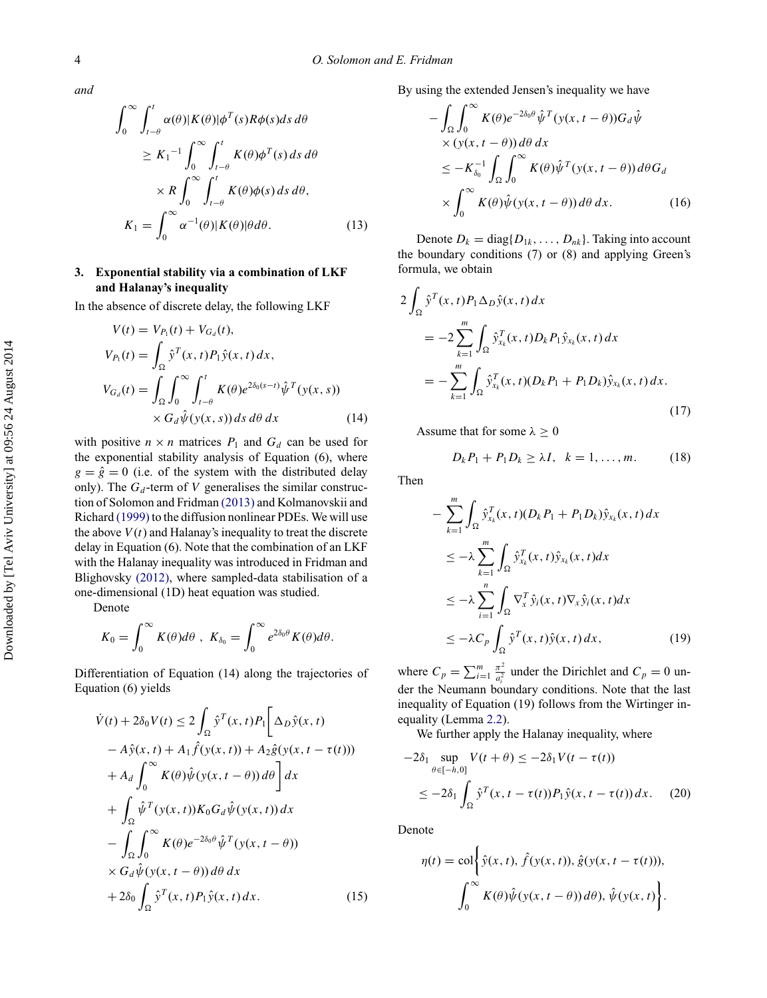*and*

$$
\int_0^\infty \int_{t-\theta}^t \alpha(\theta) |K(\theta)| \phi^T(s) R\phi(s) ds d\theta
$$
  
\n
$$
\geq K_1^{-1} \int_0^\infty \int_{t-\theta}^t K(\theta) \phi^T(s) ds d\theta
$$
  
\n
$$
\times R \int_0^\infty \int_{t-\theta}^t K(\theta) \phi(s) ds d\theta,
$$
  
\n
$$
K_1 = \int_0^\infty \alpha^{-1}(\theta) |K(\theta)| \theta d\theta.
$$
 (13)

## <span id="page-4-0"></span>**3. Exponential stability via a combination of LKF and Halanay's inequality**

In the absence of discrete delay, the following LKF

$$
V(t) = V_{P_1}(t) + V_{G_d}(t),
$$
  
\n
$$
V_{P_1}(t) = \int_{\Omega} \hat{y}^T(x, t) P_1 \hat{y}(x, t) dx,
$$
  
\n
$$
V_{G_d}(t) = \int_{\Omega} \int_0^{\infty} \int_{t-\theta}^t K(\theta) e^{2\delta_0(s-t)} \hat{\psi}^T(y(x, s))
$$
  
\n
$$
\times G_d \hat{\psi}(y(x, s)) ds d\theta dx
$$
\n(14)

with positive  $n \times n$  matrices  $P_1$  and  $G_d$  can be used for the exponential stability analysis of Equation (6), where  $g = \hat{g} = 0$  (i.e. of the system with the distributed delay only). The  $G_d$ -term of *V* generalises the similar construction of Solomon and Fridman [\(2013\)](#page-13-7) and Kolmanovskii and Richard [\(1999\)](#page-13-8) to the diffusion nonlinear PDEs. We will use the above  $V(t)$  and Halanay's inequality to treat the discrete delay in Equation (6). Note that the combination of an LKF with the Halanay inequality was introduced in Fridman and Blighovsky [\(2012\),](#page-13-2) where sampled-data stabilisation of a one-dimensional (1D) heat equation was studied.

Denote

$$
K_0 = \int_0^\infty K(\theta) d\theta \, , \; K_{\delta_0} = \int_0^\infty e^{2\delta_0 \theta} K(\theta) d\theta.
$$

Differentiation of Equation (14) along the trajectories of Equation (6) yields

$$
\dot{V}(t) + 2\delta_0 V(t) \le 2 \int_{\Omega} \hat{y}^T(x, t) P_1 \left[ \Delta_D \hat{y}(x, t) - A \hat{y}(x, t) + A_1 \hat{f}(y(x, t)) + A_2 \hat{g}(y(x, t - \tau(t))) \right] \n+ A_d \int_0^\infty K(\theta) \hat{\psi}(y(x, t - \theta)) d\theta \right] dx \n+ \int_{\Omega} \hat{\psi}^T(y(x, t)) K_0 G_d \hat{\psi}(y(x, t)) dx \n- \int_{\Omega} \int_0^\infty K(\theta) e^{-2\delta_0 \theta} \hat{\psi}^T(y(x, t - \theta)) \n\times G_d \hat{\psi}(y(x, t - \theta)) d\theta dx \n+ 2\delta_0 \int_{\Omega} \hat{y}^T(x, t) P_1 \hat{y}(x, t) dx.
$$
\n(15)

By using the extended Jensen's inequality we have

$$
- \int_{\Omega} \int_{0}^{\infty} K(\theta) e^{-2\delta_{0}\theta} \hat{\psi}^{T}(y(x, t - \theta)) G_{d} \hat{\psi}
$$
  
× (y(x, t - \theta)) d\theta dx  

$$
\leq -K_{\delta_{0}}^{-1} \int_{\Omega} \int_{0}^{\infty} K(\theta) \hat{\psi}^{T}(y(x, t - \theta)) d\theta G_{d}
$$

$$
\times \int_{0}^{\infty} K(\theta) \hat{\psi}(y(x, t - \theta)) d\theta dx.
$$
 (16)

Denote  $D_k = \text{diag}\{D_{1k}, \ldots, D_{nk}\}$ . Taking into account the boundary conditions (7) or (8) and applying Green's formula, we obtain

$$
2\int_{\Omega} \hat{y}^{T}(x, t) P_{1} \Delta_{D} \hat{y}(x, t) dx
$$
  
= 
$$
-2\sum_{k=1}^{m} \int_{\Omega} \hat{y}_{x_{k}}^{T}(x, t) D_{k} P_{1} \hat{y}_{x_{k}}(x, t) dx
$$
  
= 
$$
-\sum_{k=1}^{m} \int_{\Omega} \hat{y}_{x_{k}}^{T}(x, t) (D_{k} P_{1} + P_{1} D_{k}) \hat{y}_{x_{k}}(x, t) dx.
$$
 (17)

Assume that for some  $\lambda \geq 0$ 

$$
D_k P_1 + P_1 D_k \ge \lambda I, \quad k = 1, \dots, m. \tag{18}
$$

Then

$$
- \sum_{k=1}^{m} \int_{\Omega} \hat{y}_{x_k}^T(x, t) (D_k P_1 + P_1 D_k) \hat{y}_{x_k}(x, t) dx
$$
  
\n
$$
\leq -\lambda \sum_{k=1}^{m} \int_{\Omega} \hat{y}_{x_k}^T(x, t) \hat{y}_{x_k}(x, t) dx
$$
  
\n
$$
\leq -\lambda \sum_{i=1}^{n} \int_{\Omega} \nabla_x^T \hat{y}_i(x, t) \nabla_x \hat{y}_i(x, t) dx
$$
  
\n
$$
\leq -\lambda C_p \int_{\Omega} \hat{y}^T(x, t) \hat{y}(x, t) dx,
$$
 (19)

where  $C_p = \sum_{i=1}^{m} \frac{\pi^2}{a_i^2}$  $rac{\pi^2}{a_i^2}$  under the Dirichlet and  $C_p = 0$  under the Neumann boundary conditions. Note that the last inequality of Equation (19) follows from the Wirtinger inequality (Lemma [2.2\)](#page-3-0).

We further apply the Halanay inequality, where

$$
-2\delta_1 \sup_{\theta \in [-\hbar, 0]} V(t + \theta) \le -2\delta_1 V(t - \tau(t))
$$
  
 
$$
\le -2\delta_1 \int_{\Omega} \hat{y}^T(x, t - \tau(t)) P_1 \hat{y}(x, t - \tau(t)) dx.
$$
 (20)

Denote

$$
\eta(t) = \text{col}\bigg\{\hat{y}(x,t), \hat{f}(y(x,t)), \hat{g}(y(x,t-\tau(t))),
$$

$$
\int_0^\infty K(\theta)\hat{\psi}(y(x,t-\theta))\,d\theta), \hat{\psi}(y(x,t)\bigg\}.
$$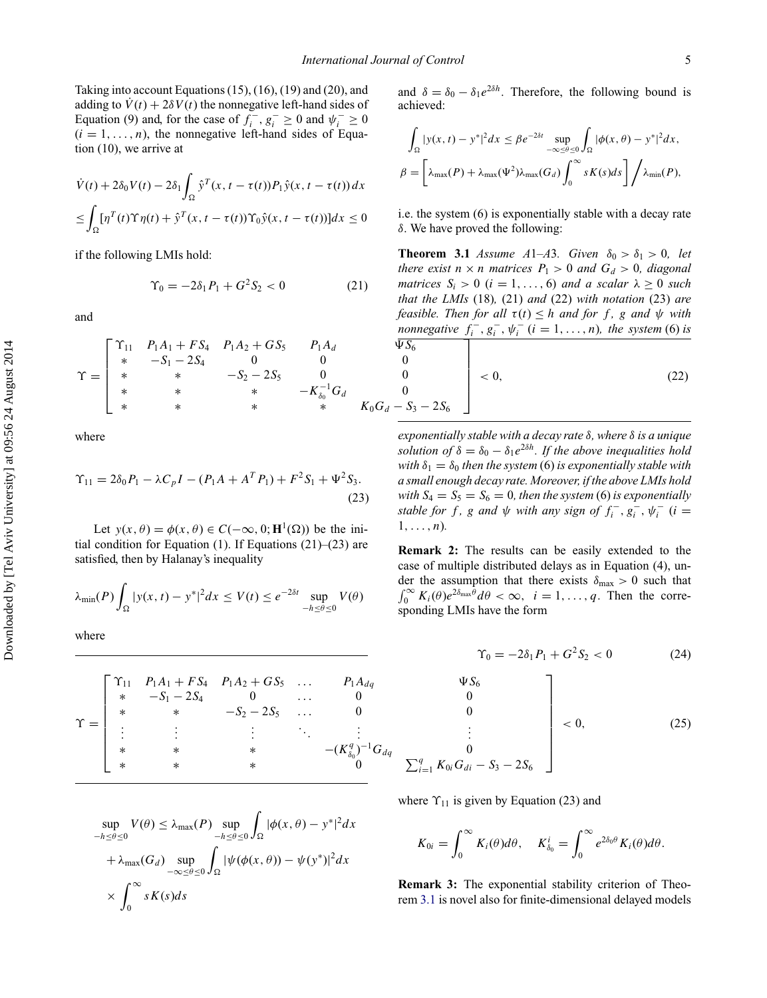Taking into account Equations (15), (16), (19) and (20), and adding to  $\dot{V}(t) + 2\delta V(t)$  the nonnegative left-hand sides of Equation (9) and, for the case of  $f_i^-, g_i^- \ge 0$  and  $\psi_i^- \ge 0$  $(i = 1, \ldots, n)$ , the nonnegative left-hand sides of Equation (10), we arrive at

$$
\dot{V}(t) + 2\delta_0 V(t) - 2\delta_1 \int_{\Omega} \hat{y}^T(x, t - \tau(t)) P_1 \hat{y}(x, t - \tau(t)) dx
$$
  

$$
\leq \int_{\Omega} [\eta^T(t) \Upsilon \eta(t) + \hat{y}^T(x, t - \tau(t)) \Upsilon_0 \hat{y}(x, t - \tau(t))] dx \leq 0
$$

if the following LMIs hold:

$$
\Upsilon_0 = -2\delta_1 P_1 + G^2 S_2 < 0 \tag{21}
$$

and

$$
\Upsilon = \begin{bmatrix}\n\Upsilon_{11} & P_1A_1 + FS_4 & P_1A_2 + GS_5 & P_1A_d & \overline{\Psi}S_6 \\
\ast & -S_1 - 2S_4 & 0 & 0 & 0 \\
\ast & \ast & -S_2 - 2S_5 & 0 & 0 \\
\ast & \ast & \ast & \ast & -K_{\delta_0}^{-1}G_d & 0 \\
\ast & \ast & \ast & \ast & K_0G_d - S_3\n\end{bmatrix}
$$

where

$$
\Upsilon_{11} = 2\delta_0 P_1 - \lambda C_p I - (P_1 A + A^T P_1) + F^2 S_1 + \Psi^2 S_3.
$$
\n(23)

Let  $y(x, \theta) = \phi(x, \theta) \in C(-\infty, 0; \mathbf{H}^1(\Omega))$  be the initial condition for Equation (1). If Equations  $(21)$ – $(23)$  are satisfied, then by Halanay's inequality

$$
\lambda_{\min}(P)\int_{\Omega}|y(x,t)-y^*|^2dx\leq V(t)\leq e^{-2\delta t}\sup_{-h\leq\theta\leq 0}V(\theta)
$$

where

$$
\Upsilon = \begin{bmatrix}\n\Upsilon_{11} & P_1A_1 + FS_4 & P_1A_2 + GS_5 & \dots & P_1A_{dq} & \Psi S_6 \\
\ast & -S_1 - 2S_4 & 0 & \dots & 0 & 0 \\
\ast & \ast & -S_2 - 2S_5 & \dots & 0 & 0 \\
\vdots & \vdots & \vdots & \ddots & \vdots & \vdots \\
\ast & \ast & \ast & \ast & -(K_{\delta_0}^q)^{-1}G_{dq} & 0 \\
\ast & \ast & \ast & \ast & 0 & \sum_{i=1}^q K_{0i}G_{di}\n\end{bmatrix}
$$

$$
\sup_{-h \le \theta \le 0} V(\theta) \le \lambda_{\max}(P) \sup_{-h \le \theta \le 0} \int_{\Omega} |\phi(x, \theta) - y^*|^2 dx
$$
  
+  $\lambda_{\max}(G_d) \sup_{-\infty \le \theta \le 0} \int_{\Omega} |\psi(\phi(x, \theta)) - \psi(y^*)|^2 dx$   
  $\times \int_0^{\infty} sK(s)ds$ 

and  $\delta = \delta_0 - \delta_1 e^{2\delta h}$ . Therefore, the following bound is achieved:

$$
\int_{\Omega} |y(x,t) - y^*|^2 dx \le \beta e^{-2\delta t} \sup_{-\infty \le \theta \le 0} \int_{\Omega} |\phi(x,\theta) - y^*|^2 dx,
$$
  

$$
\beta = \left[ \lambda_{\max}(P) + \lambda_{\max}(\Psi^2) \lambda_{\max}(G_d) \int_0^{\infty} sK(s)ds \right] / \lambda_{\min}(P),
$$

i.e. the system (6) is exponentially stable with a decay rate *δ*. We have proved the following:

<span id="page-5-0"></span> $G_d - S_3 - 2S_6$ ⎤  $\overline{\mathcal{X}}$  $\overline{\phantom{a}}$  $\overline{\phantom{a}}$  $\blacksquare$  $\overline{\phantom{a}}$ *<* 0*,* (22) **Theorem 3.1** *Assume A*1–*A*3*. Given*  $\delta_0 > \delta_1 > 0$ *, let there exist*  $n \times n$  *matrices*  $P_1 > 0$  *and*  $G_d > 0$ *, diagonal matrices*  $S_i > 0$  (*i* = 1, ..., 6) *and a scalar*  $\lambda > 0$  *such that the LMIs* (18)*,* (21) *and* (22) *with notation* (23) *are feasible. Then for all*  $\tau(t) \leq h$  *and for f*, *g and*  $\psi$  *with nonnegative*  $f_i^-, g_i^-, \psi_i^-(i = 1, ..., n)$ *, the system* (6) *is* 

*exponentially stable with a decay rate δ, where δ is a unique solution of*  $\delta = \delta_0 - \delta_1 e^{2\delta h}$ *. If the above inequalities hold with*  $\delta_1 = \delta_0$  *then the system* (6) *is exponentially stable with a small enough decay rate. Moreover, if the above LMIs hold with*  $S_4 = S_5 = S_6 = 0$ , then the system (6) is exponentially *stable for f*, *g and*  $\psi$  *with any sign of*  $f_i^-, g_i^-, \psi_i^-(i =$  $1, \ldots, n$ *)*.

<span id="page-5-1"></span>**Remark 2:** The results can be easily extended to the case of multiple distributed delays as in Equation (4), under the assumption that there exists  $\delta_{\text{max}} > 0$  such that  $\int_0^\infty K_i(\theta) e^{2\delta_{\text{max}}\hat{\theta}} d\theta < \infty$ ,  $i = 1, \ldots, q$ . Then the corresponding LMIs have the form

$$
\Upsilon_0 = -2\delta_1 P_1 + G^2 S_2 < 0 \tag{24}
$$

$$
\begin{bmatrix}\n\Psi S_{6} \\
0 \\
0 \\
\vdots \\
0 \\
\sum_{i=1}^{q} K_{0i} G_{di} - S_{3} - 2S_{6}\n\end{bmatrix} < 0, \tag{25}
$$

where  $\Upsilon_{11}$  is given by Equation (23) and

$$
K_{0i} = \int_0^\infty K_i(\theta) d\theta, \quad K_{\delta_0}^i = \int_0^\infty e^{2\delta_0 \theta} K_i(\theta) d\theta.
$$

**Remark 3:** The exponential stability criterion of Theorem [3.1](#page-5-0) is novel also for finite-dimensional delayed models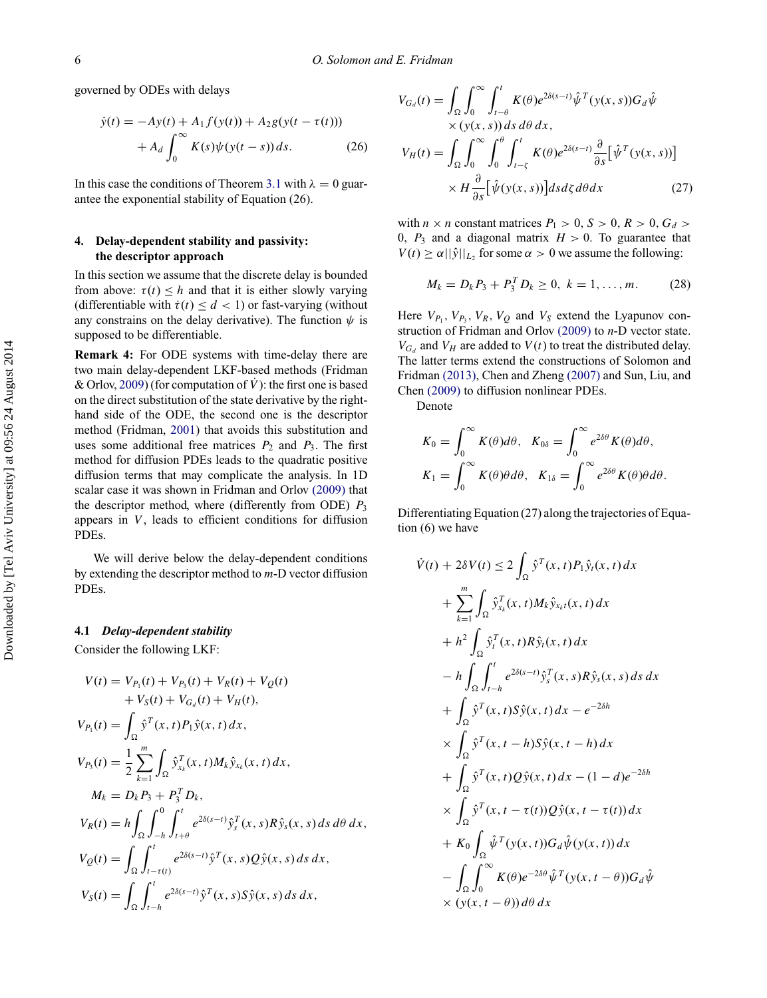governed by ODEs with delays

$$
\dot{y}(t) = -Ay(t) + A_1 f(y(t)) + A_2 g(y(t - \tau(t))) + A_d \int_0^\infty K(s) \psi(y(t - s)) ds.
$$
 (26)

In this case the conditions of Theorem [3.1](#page-5-0) with  $\lambda = 0$  guarantee the exponential stability of Equation (26).

## **4. Delay-dependent stability and passivity: the descriptor approach**

In this section we assume that the discrete delay is bounded from above:  $\tau(t) \leq h$  and that it is either slowly varying (differentiable with  $\dot{\tau}(t) \leq d < 1$ ) or fast-varying (without any constrains on the delay derivative). The function *ψ* is supposed to be differentiable.

**Remark 4:** For ODE systems with time-delay there are two main delay-dependent LKF-based methods (Fridman & Orlov, [2009\)](#page-13-9) (for computation of  $\dot{V}$ ): the first one is based on the direct substitution of the state derivative by the righthand side of the ODE, the second one is the descriptor method (Fridman, [2001\)](#page-13-10) that avoids this substitution and uses some additional free matrices  $P_2$  and  $P_3$ . The first method for diffusion PDEs leads to the quadratic positive diffusion terms that may complicate the analysis. In 1D scalar case it was shown in Fridman and Orlov [\(2009\)](#page-13-9) that the descriptor method, where (differently from ODE)  $P_3$ appears in *V* , leads to efficient conditions for diffusion PDEs.

We will derive below the delay-dependent conditions by extending the descriptor method to *m*-D vector diffusion PDEs.

#### **4.1** *Delay-dependent stability*

<span id="page-6-0"></span>Consider the following LKF:

$$
V(t) = V_{P_1}(t) + V_{P_3}(t) + V_R(t) + V_Q(t)
$$
  
+  $V_S(t) + V_{G_d}(t) + V_H(t)$ ,  

$$
V_{P_1}(t) = \int_{\Omega} \hat{y}^T(x, t) P_1 \hat{y}(x, t) dx,
$$

$$
V_{P_3}(t) = \frac{1}{2} \sum_{k=1}^m \int_{\Omega} \hat{y}^T_{x_k}(x, t) M_k \hat{y}_{x_k}(x, t) dx,
$$

$$
M_k = D_k P_3 + P_3^T D_k,
$$

$$
V_R(t) = h \int_{\Omega} \int_{-h}^0 \int_{t+\theta}^t e^{2\delta(s-t)} \hat{y}^T(x, s) R \hat{y}_s(x, s) ds d\theta dx,
$$

$$
V_Q(t) = \int_{\Omega} \int_{t-\tau(t)}^t e^{2\delta(s-t)} \hat{y}^T(x, s) Q \hat{y}(x, s) ds dx,
$$

$$
V_S(t) = \int_{\Omega} \int_{t-h}^t e^{2\delta(s-t)} \hat{y}^T(x, s) S \hat{y}(x, s) ds dx,
$$

$$
V_{G_d}(t) = \int_{\Omega} \int_0^{\infty} \int_{t-\theta}^t K(\theta) e^{2\delta(s-t)} \hat{\psi}^T(y(x, s)) G_d \hat{\psi}
$$
  
× (y(x, s)) ds d\theta dx,  

$$
V_H(t) = \int_{\Omega} \int_0^{\infty} \int_0^{\theta} \int_{t-\zeta}^t K(\theta) e^{2\delta(s-t)} \frac{\partial}{\partial s} [\hat{\psi}^T(y(x, s))]
$$

$$
\times H \frac{\partial}{\partial s} [\hat{\psi}(y(x, s))] ds d\zeta d\theta dx \qquad (27)
$$

with *n*  $\times$  *n* constant matrices  $P_1 > 0$ ,  $S > 0$ ,  $R > 0$ ,  $G_d >$ 0,  $P_3$  and a diagonal matrix  $H > 0$ . To guarantee that  $V(t) \ge \alpha ||\hat{y}||_{L_2}$  for some  $\alpha > 0$  we assume the following:

$$
M_k = D_k P_3 + P_3^T D_k \ge 0, \ k = 1, \dots, m. \tag{28}
$$

Here  $V_{P_1}$ ,  $V_{P_3}$ ,  $V_R$ ,  $V_Q$  and  $V_S$  extend the Lyapunov construction of Fridman and Orlov [\(2009\)](#page-13-9) to *n*-D vector state.  $V_{G_d}$  and  $V_H$  are added to  $V(t)$  to treat the distributed delay. The latter terms extend the constructions of Solomon and Fridman [\(2013\),](#page-13-7) Chen and Zheng [\(2007\)](#page-13-11) and Sun, Liu, and Chen [\(2009\)](#page-13-12) to diffusion nonlinear PDEs.

Denote

$$
K_0 = \int_0^\infty K(\theta) d\theta, \quad K_{0\delta} = \int_0^\infty e^{2\delta\theta} K(\theta) d\theta,
$$
  

$$
K_1 = \int_0^\infty K(\theta) \theta d\theta, \quad K_{1\delta} = \int_0^\infty e^{2\delta\theta} K(\theta) \theta d\theta.
$$

Differentiating Equation (27) along the trajectories of Equation (6) we have

$$
\dot{V}(t) + 2\delta V(t) \le 2 \int_{\Omega} \hat{y}^{T}(x, t) P_{1} \hat{y}_{t}(x, t) dx \n+ \sum_{k=1}^{m} \int_{\Omega} \hat{y}_{x_{k}}^{T}(x, t) M_{k} \hat{y}_{x_{k}t}(x, t) dx \n+ h^{2} \int_{\Omega} \hat{y}_{t}^{T}(x, t) R \hat{y}_{t}(x, t) dx \n- h \int_{\Omega} \int_{t-h}^{t} e^{2\delta(s-t)} \hat{y}_{s}^{T}(x, s) R \hat{y}_{s}(x, s) ds dx \n+ \int_{\Omega} \hat{y}^{T}(x, t) S \hat{y}(x, t) dx - e^{-2\delta h} \n\times \int_{\Omega} \hat{y}^{T}(x, t-h) S \hat{y}(x, t-h) dx \n+ \int_{\Omega} \hat{y}^{T}(x, t) Q \hat{y}(x, t) dx - (1-d)e^{-2\delta h} \n\times \int_{\Omega} \hat{y}^{T}(x, t-\tau(t)) Q \hat{y}(x, t-\tau(t)) dx \n+ K_{0} \int_{\Omega} \hat{\psi}^{T}(y(x, t)) G_{d} \hat{\psi}(y(x, t)) dx \n- \int_{\Omega} \int_{0}^{\infty} K(\theta) e^{-2\delta \theta} \hat{\psi}^{T}(y(x, t - \theta)) G_{d} \hat{\psi} \n\times (y(x, t - \theta)) d\theta dx
$$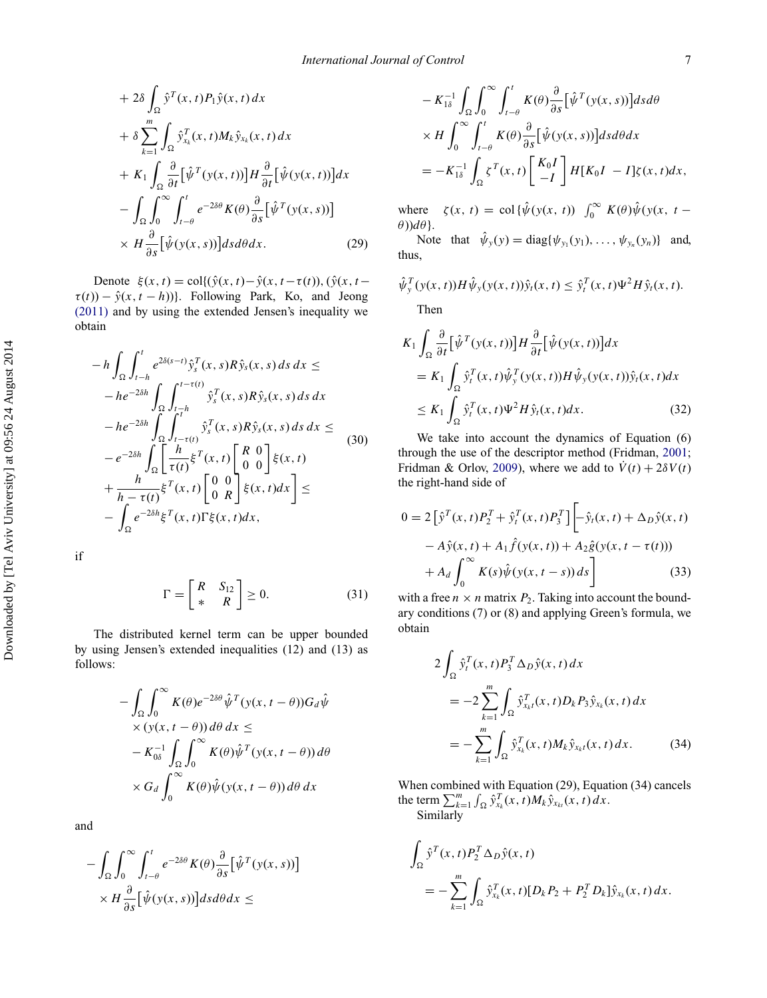+ 
$$
2\delta \int_{\Omega} \hat{y}^T(x, t) P_1 \hat{y}(x, t) dx
$$
  
\n+  $\delta \sum_{k=1}^m \int_{\Omega} \hat{y}_{x_k}^T(x, t) M_k \hat{y}_{x_k}(x, t) dx$   
\n+  $K_1 \int_{\Omega} \frac{\partial}{\partial t} [\hat{\psi}^T(y(x, t))] H \frac{\partial}{\partial t} [\hat{\psi}(y(x, t))] dx$   
\n-  $\int_{\Omega} \int_0^{\infty} \int_{t-\theta}^t e^{-2\delta \theta} K(\theta) \frac{\partial}{\partial s} [\hat{\psi}^T(y(x, s))]$   
\n $\times H \frac{\partial}{\partial s} [\hat{\psi}(y(x, s))] ds d\theta dx.$  (29)

Denote  $\xi(x, t) = \text{col}\{(\hat{y}(x, t) - \hat{y}(x, t - \tau(t)), (\hat{y}(x, t - t))\}$  $\tau(t)$ ) –  $\hat{y}(x, t - h)$ }. Following Park, Ko, and Jeong [\(2011\)](#page-13-13) and by using the extended Jensen's inequality we obtain

$$
-h \int_{\Omega} \int_{t-h}^{t} e^{2\delta(s-t)} \hat{y}_{s}^{T}(x, s) R \hat{y}_{s}(x, s) ds dx \le
$$
  
\n
$$
-he^{-2\delta h} \int_{\Omega} \int_{t-h}^{t-\tau(t)} \hat{y}_{s}^{T}(x, s) R \hat{y}_{s}(x, s) ds dx
$$
  
\n
$$
-he^{-2\delta h} \int_{\Omega} \int_{t-\tau(t)}^{t+h} \hat{y}_{s}^{T}(x, s) R \hat{y}_{s}(x, s) ds dx \le
$$
  
\n
$$
-e^{-2\delta h} \int_{\Omega} \left[ \frac{h}{\tau(t)} \xi^{T}(x, t) \begin{bmatrix} R & 0 \\ 0 & 0 \end{bmatrix} \xi(x, t) + \frac{h}{h-\tau(t)} \xi^{T}(x, t) \begin{bmatrix} 0 & 0 \\ 0 & R \end{bmatrix} \xi(x, t) dx \right] \le
$$
  
\n
$$
- \int_{\Omega} e^{-2\delta h} \xi^{T}(x, t) \Gamma \xi(x, t) dx,
$$

if

$$
\Gamma = \begin{bmatrix} R & S_{12} \\ * & R \end{bmatrix} \ge 0. \tag{31}
$$

The distributed kernel term can be upper bounded by using Jensen's extended inequalities (12) and (13) as follows:

$$
- \int_{\Omega} \int_0^{\infty} K(\theta) e^{-2\delta \theta} \hat{\psi}^T (y(x, t - \theta)) G_d \hat{\psi}
$$
  
× (y(x, t - \theta)) d\theta dx ≤  
– K<sub>0</sub><sup>-1</sup>  $\int_{\Omega} \int_0^{\infty} K(\theta) \hat{\psi}^T (y(x, t - \theta)) d\theta$   
× G<sub>d</sub>  $\int_0^{\infty} K(\theta) \hat{\psi} (y(x, t - \theta)) d\theta dx$ 

and

$$
- \int_{\Omega} \int_0^{\infty} \int_{t-\theta}^t e^{-2\delta\theta} K(\theta) \frac{\partial}{\partial s} [\hat{\psi}^T(y(x,s))]
$$

$$
\times H \frac{\partial}{\partial s} [\hat{\psi}(y(x,s))] ds d\theta dx \le
$$

$$
- K_{1\delta}^{-1} \int_{\Omega} \int_0^{\infty} \int_{t-\theta}^t K(\theta) \frac{\partial}{\partial s} [\hat{\psi}^T(y(x, s))] ds d\theta
$$
  
 
$$
\times H \int_0^{\infty} \int_{t-\theta}^t K(\theta) \frac{\partial}{\partial s} [\hat{\psi}(y(x, s))] ds d\theta dx
$$
  

$$
= -K_{1\delta}^{-1} \int_{\Omega} \zeta^T(x, t) \begin{bmatrix} K_0 I \\ -I \end{bmatrix} H[K_0 I - I] \zeta(x, t) dx,
$$

where  $\zeta(x, t) = \text{col}\{\hat{\psi}(y(x, t))\}_{0}^{\infty} K(\theta)\hat{\psi}(y(x, t))$ *θ*))*dθ*}.

Note that  $\hat{\psi}_y(y) = \text{diag}\{\psi_{y_1}(y_1), \dots, \psi_{y_n}(y_n)\}\$  and, thus,

$$
\hat{\psi}_y^T(y(x,t))H\hat{\psi}_y(y(x,t))\hat{y}_t(x,t) \leq \hat{y}_t^T(x,t)\Psi^2H\hat{y}_t(x,t).
$$

Then

$$
K_1 \int_{\Omega} \frac{\partial}{\partial t} \left[ \hat{\psi}^T(y(x,t)) \right] H \frac{\partial}{\partial t} \left[ \hat{\psi}(y(x,t)) \right] dx
$$
  
\n
$$
= K_1 \int_{\Omega} \hat{y}_t^T(x,t) \hat{\psi}_y^T(y(x,t)) H \hat{\psi}_y(y(x,t)) \hat{y}_t(x,t) dx
$$
  
\n
$$
\leq K_1 \int_{\Omega} \hat{y}_t^T(x,t) \Psi^2 H \hat{y}_t(x,t) dx.
$$
 (32)

We take into account the dynamics of Equation (6) through the use of the descriptor method (Fridman, [2001;](#page-13-10) Fridman & Orlov, [2009\)](#page-13-9), where we add to  $\dot{V}(t) + 2\delta V(t)$ the right-hand side of

$$
0 = 2\left[\hat{y}^T(x,t)P_2^T + \hat{y}_t^T(x,t)P_3^T\right] \left[-\hat{y}_t(x,t) + \Delta_D \hat{y}(x,t)\right] - A\hat{y}(x,t) + A_1 \hat{f}(y(x,t)) + A_2 \hat{g}(y(x,t-\tau(t))) + A_d \int_0^\infty K(s)\hat{\psi}(y(x,t-s))ds\right]
$$
(33)

with a free  $n \times n$  matrix  $P_2$ . Taking into account the boundary conditions (7) or (8) and applying Green's formula, we obtain

$$
2\int_{\Omega} \hat{y}_t^T(x,t) P_3^T \Delta_D \hat{y}(x,t) dx
$$
  
= 
$$
-2\sum_{k=1}^m \int_{\Omega} \hat{y}_{x_k t}^T(x,t) D_k P_3 \hat{y}_{x_k}(x,t) dx
$$
  
= 
$$
-\sum_{k=1}^m \int_{\Omega} \hat{y}_{x_k}^T(x,t) M_k \hat{y}_{x_k t}(x,t) dx.
$$
 (34)

When combined with Equation (29), Equation (34) cancels the term  $\sum_{k=1}^{m} \int_{\Omega} \hat{y}_{x_k}^T(x, t) M_k \hat{y}_{x_{kt}}(x, t) dx$ . Similarly

$$
\int_{\Omega} \hat{y}^T(x,t) P_2^T \Delta_D \hat{y}(x,t)
$$
  
= 
$$
- \sum_{k=1}^m \int_{\Omega} \hat{y}_{x_k}^T(x,t) [D_k P_2 + P_2^T D_k] \hat{y}_{x_k}(x,t) dx.
$$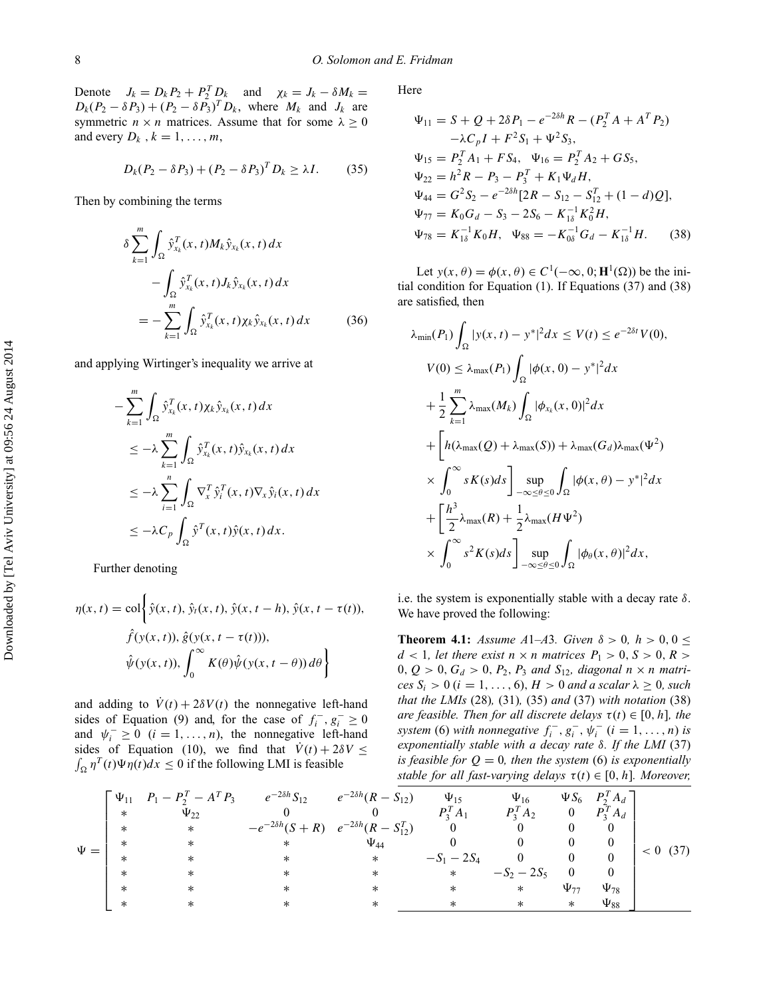Denote  $J_k = D_k P_2 + P_2^T D_k$  and  $\chi_k = J_k - \delta M_k =$  $D_k(P_2 - \delta P_3) + (P_2 - \delta P_3)^T D_k$ , where  $M_k$  and  $J_k$  are symmetric  $n \times n$  matrices. Assume that for some  $\lambda \geq 0$ and every  $D_k$ ,  $k = 1, \ldots, m$ ,

$$
D_k(P_2 - \delta P_3) + (P_2 - \delta P_3)^T D_k \ge \lambda I. \tag{35}
$$

Then by combining the terms

$$
\delta \sum_{k=1}^{m} \int_{\Omega} \hat{y}_{x_k}^T(x, t) M_k \hat{y}_{x_k}(x, t) dx
$$

$$
- \int_{\Omega} \hat{y}_{x_k}^T(x, t) J_k \hat{y}_{x_k}(x, t) dx
$$

$$
= - \sum_{k=1}^{m} \int_{\Omega} \hat{y}_{x_k}^T(x, t) \chi_k \hat{y}_{x_k}(x, t) dx \qquad (36)
$$

and applying Wirtinger's inequality we arrive at

$$
\begin{split}\n&-\sum_{k=1}^{m} \int_{\Omega} \hat{y}_{x_k}^T(x,t) \chi_k \hat{y}_{x_k}(x,t) \, dx \\
&\leq -\lambda \sum_{k=1}^{m} \int_{\Omega} \hat{y}_{x_k}^T(x,t) \hat{y}_{x_k}(x,t) \, dx \\
&\leq -\lambda \sum_{i=1}^{n} \int_{\Omega} \nabla_x^T \hat{y}_i^T(x,t) \nabla_x \hat{y}_i(x,t) \, dx \\
&\leq -\lambda C_p \int_{\Omega} \hat{y}^T(x,t) \hat{y}(x,t) \, dx.\n\end{split}
$$

Further denoting

−

$$
\eta(x,t) = \text{col}\left\{\hat{y}(x,t), \hat{y}_t(x,t), \hat{y}(x,t-h), \hat{y}(x,t-\tau(t)),
$$

$$
\hat{f}(y(x,t)), \hat{g}(y(x,t-\tau(t))),
$$

$$
\hat{\psi}(y(x,t)), \int_0^\infty K(\theta)\hat{\psi}(y(x,t-\theta))\,d\theta\right\}
$$

and adding to  $\dot{V}(t) + 2\delta V(t)$  the nonnegative left-hand sides of Equation (9) and, for the case of  $f_i^-, g_i^- \ge 0$ and  $\psi_i^- \ge 0$  (*i* = 1, ..., *n*), the nonnegative left-hand sides of Equation (10), we find that  $\dot{V}(t) + 2\delta V \leq$  $\int_{\Omega} \eta^T(t) \Psi \eta(t) dx \le 0$  if the following LMI is feasible

Here

$$
\Psi_{11} = S + Q + 2\delta P_1 - e^{-2\delta h} R - (P_2^T A + A^T P_2) \n- \lambda C_p I + F^2 S_1 + \Psi^2 S_3, \n\Psi_{15} = P_2^T A_1 + F S_4, \quad \Psi_{16} = P_2^T A_2 + G S_5, \n\Psi_{22} = h^2 R - P_3 - P_3^T + K_1 \Psi_d H, \n\Psi_{44} = G^2 S_2 - e^{-2\delta h} [2R - S_{12} - S_{12}^T + (1 - d)Q], \n\Psi_{77} = K_0 G_d - S_3 - 2S_6 - K_{1\delta}^{-1} K_0^2 H, \n\Psi_{78} = K_{1\delta}^{-1} K_0 H, \quad \Psi_{88} = -K_{0\delta}^{-1} G_d - K_{1\delta}^{-1} H. \tag{38}
$$

Let  $y(x, \theta) = \phi(x, \theta) \in C^1(-\infty, 0; \mathbf{H}^1(\Omega))$  be the initial condition for Equation (1). If Equations (37) and (38) are satisfied, then

$$
\lambda_{\min}(P_1) \int_{\Omega} |y(x, t) - y^*|^2 dx \le V(t) \le e^{-2\delta t} V(0),
$$
  
\n
$$
V(0) \le \lambda_{\max}(P_1) \int_{\Omega} |\phi(x, 0) - y^*|^2 dx
$$
  
\n
$$
+ \frac{1}{2} \sum_{k=1}^{m} \lambda_{\max}(M_k) \int_{\Omega} |\phi_{x_k}(x, 0)|^2 dx
$$
  
\n
$$
+ \left[ h(\lambda_{\max}(Q) + \lambda_{\max}(S)) + \lambda_{\max}(G_d) \lambda_{\max}(\Psi^2) \right]
$$
  
\n
$$
\times \int_{0}^{\infty} sK(s) ds \right] \sup_{-\infty \le \theta \le 0} \int_{\Omega} |\phi(x, \theta) - y^*|^2 dx
$$
  
\n
$$
+ \left[ \frac{h^3}{2} \lambda_{\max}(R) + \frac{1}{2} \lambda_{\max}(H \Psi^2) \right]
$$
  
\n
$$
\times \int_{0}^{\infty} s^2 K(s) ds \right] \sup_{-\infty \le \theta \le 0} \int_{\Omega} |\phi_{\theta}(x, \theta)|^2 dx,
$$

i.e. the system is exponentially stable with a decay rate *δ*. We have proved the following:

<span id="page-8-0"></span>**Theorem 4.1:** *Assume A*1–*A*3*. Given*  $\delta > 0$ *,*  $h > 0$ ,  $0 \le$  $d < 1$ *, let there exist*  $n \times n$  *matrices*  $P_1 > 0$ *, S*  $> 0$ *, R*  $>$ 0*,*  $Q > 0$ *,*  $G_d > 0$ *,*  $P_2$ *,*  $P_3$  *and*  $S_{12}$ *, diagonal*  $n \times n$  *matri* $ces S_i > 0$  ( $i = 1, ..., 6$ )*, H* > 0 *and a scalar*  $\lambda \ge 0$ *, such that the LMIs* (28)*,* (31)*,* (35) *and* (37) *with notation* (38) *are feasible. Then for all discrete delays*  $\tau(t) \in [0, h]$ *, the system* (6) *with nonnegative*  $f_i^-, g_i^-, \psi_i^-(i = 1, ..., n)$  *is exponentially stable with a decay rate δ. If the LMI* (37) *is feasible for*  $Q = 0$ *, then the system* (6) *is exponentially stable for all fast-varying delays*  $\tau(t) \in [0, h]$ *. Moreover,* 

|          |        | $\begin{bmatrix} \Psi_{11} & P_1 - P_2^T - A^T P_3 \end{bmatrix}$ | $e^{-2\delta h}S_{12}$ $e^{-2\delta h}(R-S_{12})$   |             | $\Psi_{15}$    | $\Psi_{16}$   |                | $\Psi S_6$ $P_2^T A_d$ |            |
|----------|--------|-------------------------------------------------------------------|-----------------------------------------------------|-------------|----------------|---------------|----------------|------------------------|------------|
| $\Psi =$ | $\ast$ | $\Psi_{22}$                                                       |                                                     |             | $P_3^T A_1$    | $P_3^T A_2$   | $\overline{0}$ | $P_3^T A_d$            |            |
|          | $\ast$ | $\ast$                                                            | $-e^{-2\delta h}(S+R)$ $e^{-2\delta h}(R-S_{12}^T)$ |             | $\overline{0}$ |               | 0              |                        | $< 0$ (37) |
|          | $\ast$ | $\ast$                                                            | $\ast$                                              | $\Psi_{44}$ |                |               | $\overline{0}$ |                        |            |
|          |        |                                                                   |                                                     | $\ast$      | $-S_1 - 2S_4$  |               | $\mathbf{0}$   |                        |            |
|          | $\ast$ |                                                                   | $^\ast$                                             | *           | $\ast$         | $-S_2 - 2S_5$ | $\Omega$       |                        |            |
|          | $\ast$ |                                                                   |                                                     |             | $\ast$         | $\ast$        | $\Psi_{77}$    | $\Psi_{78}$            |            |
|          | $\ast$ |                                                                   |                                                     | $\ast$      |                | $\ast$        | $\ast$         | $\Psi_{88}$            |            |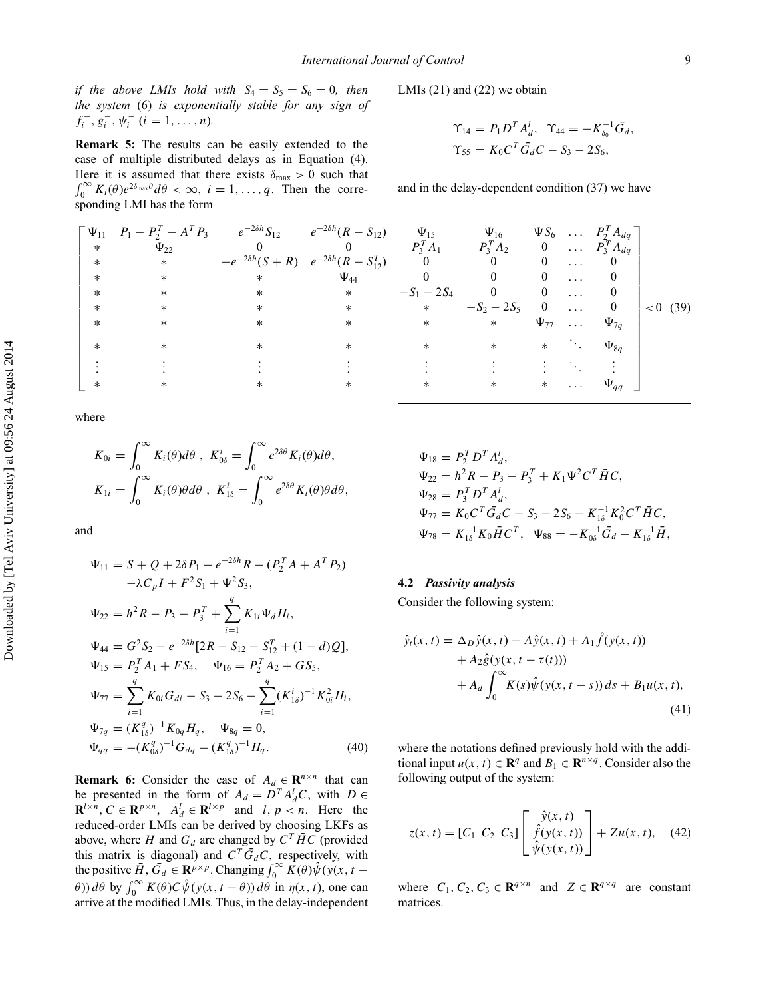*if the above LMIs hold with*  $S_4 = S_5 = S_6 = 0$ *, then the system* (6) *is exponentially stable for any sign of*  $f_i^-, g_i^-, \psi_i^-(i = 1, \ldots, n)$ .

<span id="page-9-2"></span>**Remark 5:** The results can be easily extended to the case of multiple distributed delays as in Equation (4). Here it is assumed that there exists  $\delta_{\text{max}} > 0$  such that  $\int_0^\infty K_i(\theta) e^{2\delta_{\text{max}}\theta} d\theta < \infty$ ,  $i = 1, \ldots, q$ . Then the corresponding LMI has the form

$$
\begin{bmatrix}\n\Psi_{11} & P_1 - P_2^T - A^T P_3 & e^{-2\delta h} S_{12} & e^{-2\delta h} (R - S_{12}) & \Psi_{15} & \Psi_{16} & \Psi S_6 & \dots & P_2^T A_1 \\
* & \Psi_{22} & 0 & 0 & P_3^T A_1 & P_3^T A_2 & 0 & \dots & P_3^T A_1 \\
* & * & * & -e^{-2\delta h} (S + R) & e^{-2\delta h} (R - S_{12}^T) & 0 & 0 & 0 & \dots & 0 \\
* & * & * & * & \Psi_{44} & 0 & 0 & 0 & \dots & 0 \\
* & * & * & * & * & -S_1 - 2S_4 & 0 & 0 & \dots & 0 \\
* & * & * & * & * & * & * & * \\
* & * & * & * & * & * & * & \Psi_{77} & \dots & \Psi_{7q} \\
* & * & * & * & * & * & * & * & \dots & \Psi_{8q} \\
\vdots & \vdots & \vdots & \vdots & \vdots & \vdots & \vdots & \vdots & \vdots & \ddots & \vdots \\
* & * & * & * & * & * & * & * & \dots & \Psi_{qq}\n\end{bmatrix}
$$

where

$$
K_{0i} = \int_0^\infty K_i(\theta) d\theta, \quad K_{0\delta}^i = \int_0^\infty e^{2\delta\theta} K_i(\theta) d\theta,
$$
  

$$
K_{1i} = \int_0^\infty K_i(\theta) \theta d\theta, \quad K_{1\delta}^i = \int_0^\infty e^{2\delta\theta} K_i(\theta) \theta d\theta,
$$

and

$$
\Psi_{11} = S + Q + 2\delta P_1 - e^{-2\delta h} R - (P_2^T A + A^T P_2)
$$
  
\n
$$
-\lambda C_p I + F^2 S_1 + \Psi^2 S_3,
$$
  
\n
$$
\Psi_{22} = h^2 R - P_3 - P_3^T + \sum_{i=1}^q K_{1i} \Psi_d H_i,
$$
  
\n
$$
\Psi_{44} = G^2 S_2 - e^{-2\delta h} [2R - S_{12} - S_{12}^T + (1 - d)Q],
$$
  
\n
$$
\Psi_{15} = P_2^T A_1 + F S_4, \quad \Psi_{16} = P_2^T A_2 + G S_5,
$$
  
\n
$$
\Psi_{77} = \sum_{i=1}^q K_{0i} G_{di} - S_3 - 2S_6 - \sum_{i=1}^q (K_{1\delta}^i)^{-1} K_{0i}^2 H_i,
$$
  
\n
$$
\Psi_{7q} = (K_{1\delta}^q)^{-1} K_{0q} H_q, \quad \Psi_{8q} = 0,
$$
  
\n
$$
\Psi_{qq} = -(K_{0\delta}^q)^{-1} G_{dq} - (K_{1\delta}^q)^{-1} H_q.
$$
  
\n(40)

<span id="page-9-1"></span>**Remark 6:** Consider the case of  $A_d \in \mathbb{R}^{n \times n}$  that can be presented in the form of  $A_d = D^T A_d^T C$ , with  $D \in$  $\mathbf{R}^{l \times n}$ ,  $C \in \mathbf{R}^{p \times n}$ ,  $A_d^l \in \mathbf{R}^{l \times p}$  and *l, p < n*. Here the reduced-order LMIs can be derived by choosing LKFs as above, where *H* and  $G_d$  are changed by  $C^T \overline{H} C$  (provided this matrix is diagonal) and  $C^T \overline{G}_d C$ , respectively, with the positive  $\overline{H}$ ,  $\overline{G}_d \in \mathbb{R}^{p \times p}$ . Changing  $\int_0^\infty \overline{K}(\theta) \hat{\psi}(y(x, t \theta$ )) *dθ* by  $\int_0^\infty K(\theta) C \hat{\psi}(y(x, t - \theta)) d\theta$  in  $\eta(x, t)$ , one can arrive at the modified LMIs. Thus, in the delay-independent LMIs (21) and (22) we obtain

$$
\begin{aligned} \Upsilon_{14} &= P_1 D^T A_d^T, \ \ \Upsilon_{44} &= -K_{\delta_0}^{-1} \bar{G}_d, \\ \Upsilon_{55} &= K_0 C^T \bar{G}_d C - S_3 - 2S_6, \end{aligned}
$$

and in the delay-dependent condition (37) we have

| $\Psi_{15}$   | $\Psi_{16}$   |             |          | $\Psi S_6$ $P_2^T A_{dq}$ |             |
|---------------|---------------|-------------|----------|---------------------------|-------------|
| $P_3^T A_1$   | $P_3^T A_2$   | $\bf{0}$    | $\cdots$ | $P_3^T A_{dq}$            |             |
|               |               |             |          |                           |             |
| 0             |               |             |          |                           |             |
| $-S_1 - 2S_4$ |               | 0           |          | 0                         |             |
| $\ast$        | $-S_2 - 2S_5$ | $\bf{0}$    |          | $\boldsymbol{0}$          | < 0<br>(39) |
| $\ast$        | $\ast$        | $\Psi_{77}$ | .        | $\Psi_{7q}$               |             |
| $\ast$        | $\ast$        | $\ast$      |          | $\Psi_{8q}$               |             |
|               |               |             |          |                           |             |
| $\ast$        | $\ast$        | $\ast$      |          | $\Psi_{qq}$               |             |

$$
\Psi_{18} = P_2^T D^T A_d^I,
$$
  
\n
$$
\Psi_{22} = h^2 R - P_3 - P_3^T + K_1 \Psi^2 C^T \overline{H} C,
$$
  
\n
$$
\Psi_{28} = P_3^T D^T A_d^I,
$$
  
\n
$$
\Psi_{77} = K_0 C^T \overline{G}_d C - S_3 - 2S_6 - K_{1\delta}^{-1} K_0^2 C^T \overline{H} C,
$$
  
\n
$$
\Psi_{78} = K_{1\delta}^{-1} K_0 \overline{H} C^T, \quad \Psi_{88} = -K_{0\delta}^{-1} \overline{G}_d - K_{1\delta}^{-1} \overline{H},
$$

## **4.2** *Passivity analysis*

<span id="page-9-0"></span>Consider the following system:

$$
\hat{y}_t(x, t) = \Delta_D \hat{y}(x, t) - A\hat{y}(x, t) + A_1 \hat{f}(y(x, t)) \n+ A_2 \hat{g}(y(x, t - \tau(t))) \n+ A_d \int_0^\infty K(s) \hat{\psi}(y(x, t - s)) ds + B_1 u(x, t),
$$
\n(41)

where the notations defined previously hold with the additional input  $u(x, t) \in \mathbb{R}^q$  and  $B_1 \in \mathbb{R}^{n \times q}$ . Consider also the following output of the system:

$$
z(x,t) = [C_1 \ C_2 \ C_3] \begin{bmatrix} \hat{y}(x,t) \\ \hat{f}(y(x,t)) \\ \hat{\psi}(y(x,t)) \end{bmatrix} + Zu(x,t), \quad (42)
$$

where  $C_1, C_2, C_3 \in \mathbb{R}^{q \times n}$  and  $Z \in \mathbb{R}^{q \times q}$  are constant matrices.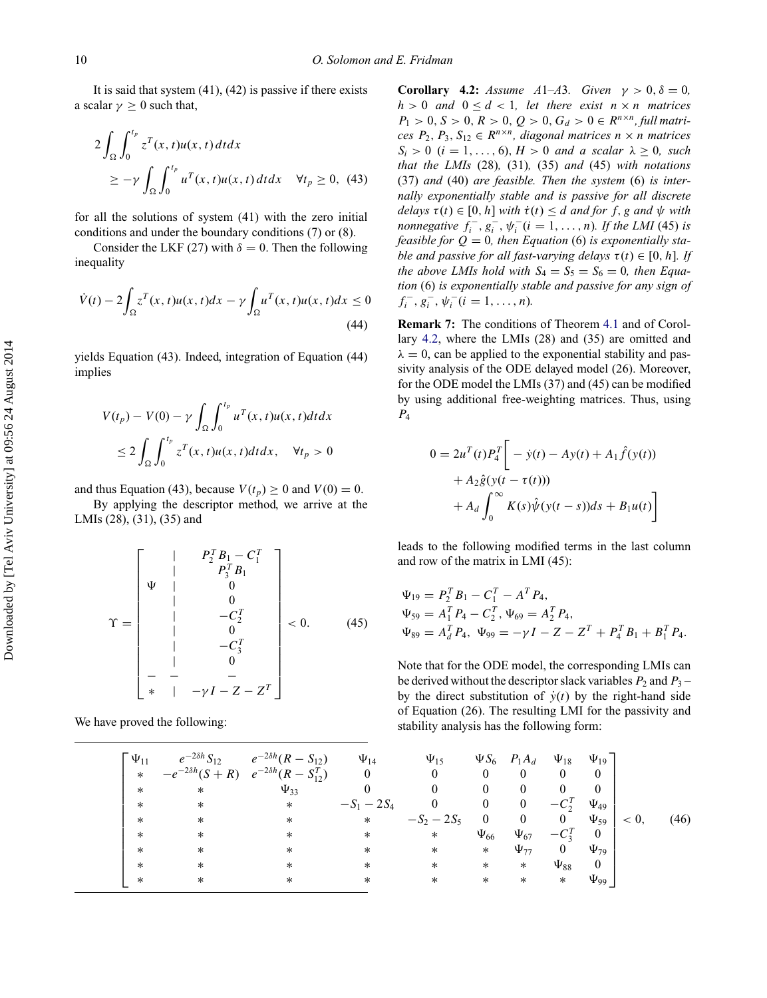It is said that system  $(41)$ ,  $(42)$  is passive if there exists a scalar  $\gamma \geq 0$  such that,

$$
2\int_{\Omega} \int_0^{t_p} z^T(x, t)u(x, t) dt dx
$$
  
 
$$
\geq -\gamma \int_{\Omega} \int_0^{t_p} u^T(x, t)u(x, t) dt dx \quad \forall t_p \geq 0, (43)
$$

for all the solutions of system (41) with the zero initial conditions and under the boundary conditions (7) or (8).

Consider the LKF (27) with  $\delta = 0$ . Then the following inequality

$$
\dot{V}(t) - 2\int_{\Omega} z^T(x, t)u(x, t)dx - \gamma \int_{\Omega} u^T(x, t)u(x, t)dx \le 0
$$
\n(44)

yields Equation (43). Indeed, integration of Equation (44) implies

$$
V(t_p) - V(0) - \gamma \int_{\Omega} \int_0^{t_p} u^T(x, t) u(x, t) dt dx
$$
  

$$
\leq 2 \int_{\Omega} \int_0^{t_p} z^T(x, t) u(x, t) dt dx, \quad \forall t_p > 0
$$

and thus Equation (43), because  $V(t_p) \ge 0$  and  $V(0) = 0$ .

By applying the descriptor method, we arrive at the LMIs (28), (31), (35) and

$$
\Upsilon = \begin{bmatrix}\n & & & P_2^T B_1 - C_1^T \\
 & & & P_3^T B_1 \\
 & & & & 0 \\
 & & & & 0 \\
 & & & & -C_2^T \\
 & & & & 0 \\
 & & & & -C_3^T \\
 & & & & & -C_3^T \\
 & & & & & & -C_4^T \\
 & & & & & & -C_5 \\
 & & & & & & -C_5 \\
 & & & & & & -C_5\n\end{bmatrix} < 0.
$$
 (45)

We have proved the following:

<span id="page-10-0"></span>**Corollary 4.2:** *Assume A*1–*A*3*. Given*  $\gamma > 0$ ,  $\delta = 0$ *,*  $h > 0$  *and*  $0 \le d < 1$ *, let there exist*  $n \times n$  *matrices*  $P_1 > 0, S > 0, R > 0, Q > 0, G_d > 0 \in R^{n \times n}$ , full matri*ces*  $P_2$ ,  $P_3$ ,  $S_{12} \in R^{n \times n}$ , diagonal matrices  $n \times n$  matrices  $S_i > 0$  (*i* = 1,..., 6)*, H* > 0 *and a scalar*  $\lambda \geq 0$ *, such that the LMIs* (28)*,* (31)*,* (35) *and* (45) *with notations* (37) *and* (40) *are feasible. Then the system* (6) *is internally exponentially stable and is passive for all discrete delays*  $\tau(t) \in [0, h]$  *with*  $\dot{\tau}(t) \leq d$  *and for f, g and*  $\psi$  *with nonnegative*  $f_i^-, g_i^-, \psi_i^-(i = 1, \ldots, n)$ *. If the LMI* (45) *is feasible for*  $Q = 0$ *, then Equation* (6) *is exponentially stable and passive for all fast-varying delays*  $\tau(t) \in [0, h]$ *. If the above LMIs hold with*  $S_4 = S_5 = S_6 = 0$ *, then Equation* (6) *is exponentially stable and passive for any sign of*  $f_i^-, g_i^-, \psi_i^-(i = 1, \ldots, n)$ .

<span id="page-10-1"></span>**Remark 7:** The conditions of Theorem [4.1](#page-8-0) and of Corollary [4.2,](#page-10-0) where the LMIs (28) and (35) are omitted and  $\lambda = 0$ , can be applied to the exponential stability and passivity analysis of the ODE delayed model (26). Moreover, for the ODE model the LMIs (37) and (45) can be modified by using additional free-weighting matrices. Thus, using *P*4

$$
0 = 2u^{T}(t)P_{4}^{T} \bigg[ -\dot{y}(t) - Ay(t) + A_{1}\hat{f}(y(t)) + A_{2}\hat{g}(y(t - \tau(t))) + A_{d}\int_{0}^{\infty} K(s)\hat{\psi}(y(t - s))ds + B_{1}u(t) \bigg]
$$

leads to the following modified terms in the last column and row of the matrix in LMI (45):

$$
\Psi_{19} = P_2^T B_1 - C_1^T - A^T P_4,
$$
  
\n
$$
\Psi_{59} = A_1^T P_4 - C_2^T, \Psi_{69} = A_2^T P_4,
$$
  
\n
$$
\Psi_{89} = A_d^T P_4, \Psi_{99} = -\gamma I - Z - Z^T + P_4^T B_1 + B_1^T P_4.
$$

Note that for the ODE model, the corresponding LMIs can be derived without the descriptor slack variables  $P_2$  and  $P_3$  – by the direct substitution of  $\dot{y}(t)$  by the right-hand side of Equation (26). The resulting LMI for the passivity and stability analysis has the following form:

$$
\begin{bmatrix}\n\Psi_{11} & e^{-2\delta h} S_{12} & e^{-2\delta h} (R - S_{12}) & \Psi_{14} & \Psi_{15} & \Psi S_6 & P_1 A_d & \Psi_{18} & \Psi_{19} \\
* & -e^{-2\delta h} (S + R) & e^{-2\delta h} (R - S_{12}^T) & 0 & 0 & 0 & 0 & 0 \\
* & * & * & \Psi_{33} & 0 & 0 & 0 & 0 & 0 \\
* & * & * & * & -S_1 - 2S_4 & 0 & 0 & 0 & -C_2^T & \Psi_{49} \\
* & * & * & * & * & * & * & * \\
* & * & * & * & * & * & * & \Psi_{66} & \Psi_{67} & -C_3^T & 0 \\
* & * & * & * & * & * & * & * & \Psi_{77} & 0 & \Psi_{79} \\
* & * & * & * & * & * & * & * & * & \Psi_{88} & 0 \\
* & * & * & * & * & * & * & * & * & \Psi_{99}\n\end{bmatrix}\n $\times 0, \quad (46)$
$$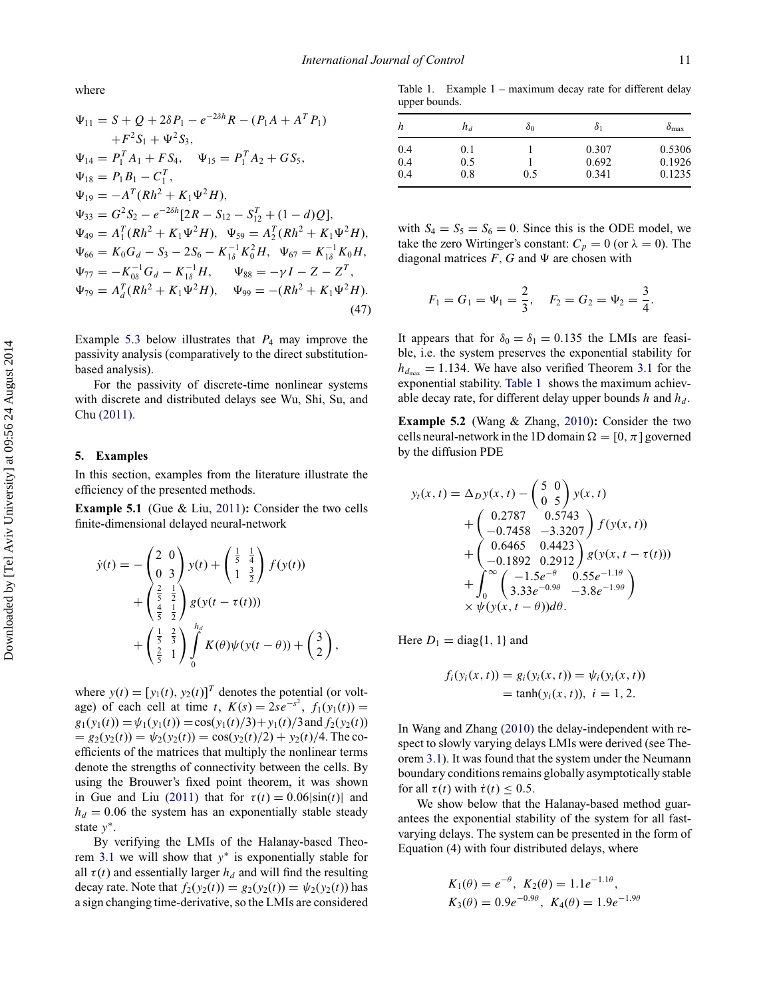where

$$
\Psi_{11} = S + Q + 2\delta P_1 - e^{-2\delta h} R - (P_1 A + A^T P_1)
$$
  
\n
$$
+ F^2 S_1 + \Psi^2 S_3,
$$
  
\n
$$
\Psi_{14} = P_1^T A_1 + F S_4, \quad \Psi_{15} = P_1^T A_2 + G S_5,
$$
  
\n
$$
\Psi_{18} = P_1 B_1 - C_1^T,
$$
  
\n
$$
\Psi_{19} = -A^T (Rh^2 + K_1 \Psi^2 H),
$$
  
\n
$$
\Psi_{33} = G^2 S_2 - e^{-2\delta h} [2R - S_{12} - S_{12}^T + (1 - d)Q],
$$
  
\n
$$
\Psi_{49} = A_1^T (Rh^2 + K_1 \Psi^2 H), \quad \Psi_{59} = A_2^T (Rh^2 + K_1 \Psi^2 H),
$$
  
\n
$$
\Psi_{66} = K_0 G_d - S_3 - 2S_6 - K_{1\delta}^{-1} K_0^2 H, \quad \Psi_{67} = K_{1\delta}^{-1} K_0 H,
$$
  
\n
$$
\Psi_{77} = -K_{0\delta}^{-1} G_d - K_{1\delta}^{-1} H, \quad \Psi_{88} = -\gamma I - Z - Z^T,
$$
  
\n
$$
\Psi_{79} = A_d^T (Rh^2 + K_1 \Psi^2 H), \quad \Psi_{99} = -(Rh^2 + K_1 \Psi^2 H).
$$
  
\n(47)

Example [5.3](#page-12-0) below illustrates that  $P_4$  may improve the passivity analysis (comparatively to the direct substitutionbased analysis).

For the passivity of discrete-time nonlinear systems with discrete and distributed delays see Wu, Shi, Su, and Chu [\(2011\).](#page-13-14)

#### **5. Examples**

<span id="page-11-0"></span>In this section, examples from the literature illustrate the efficiency of the presented methods.

**Example 5.1** (Gue & Liu, [2011\)](#page-13-15)**:** Consider the two cells finite-dimensional delayed neural-network

$$
\dot{y}(t) = -\begin{pmatrix} 2 & 0 \\ 0 & 3 \end{pmatrix} y(t) + \begin{pmatrix} \frac{1}{5} & \frac{1}{4} \\ 1 & \frac{3}{2} \end{pmatrix} f(y(t)) \n+ \begin{pmatrix} \frac{2}{5} & \frac{1}{2} \\ \frac{4}{5} & \frac{1}{2} \end{pmatrix} g(y(t - \tau(t))) \n+ \begin{pmatrix} \frac{1}{5} & \frac{2}{3} \\ \frac{2}{5} & 1 \end{pmatrix} \int_{0}^{h_d} K(\theta) \psi(y(t - \theta)) + \begin{pmatrix} 3 \\ 2 \end{pmatrix},
$$

where  $y(t) = [y_1(t), y_2(t)]^T$  denotes the potential (or voltage) of each cell at time *t*,  $K(s) = 2se^{-s^2}$ ,  $f_1(y_1(t)) =$  $g_1(y_1(t)) = \psi_1(y_1(t)) = \cos(y_1(t)/3) + y_1(t)/3$  and  $f_2(y_2(t))$  $= g_2(y_2(t)) = \psi_2(y_2(t)) = \cos(y_2(t)/2) + y_2(t)/4$ . The coefficients of the matrices that multiply the nonlinear terms denote the strengths of connectivity between the cells. By using the Brouwer's fixed point theorem, it was shown in Gue and Liu [\(2011\)](#page-13-15) that for  $\tau(t) = 0.06|\sin(t)|$  and  $h_d = 0.06$  the system has an exponentially stable steady state *y*<sup>∗</sup>.

By verifying the LMIs of the Halanay-based Theorem [3.1](#page-5-0) we will show that *y*<sup>∗</sup> is exponentially stable for all  $\tau(t)$  and essentially larger  $h_d$  and will find the resulting decay rate. Note that  $f_2(y_2(t)) = g_2(y_2(t)) = \psi_2(y_2(t))$  has a sign changing time-derivative, so the LMIs are considered

<span id="page-11-1"></span>Table 1. Example 1 – maximum decay rate for different delay upper bounds.

| h   | $h_d$ | $\delta_0$ | Ò1    | $\delta_{\text{max}}$ |
|-----|-------|------------|-------|-----------------------|
| 0.4 | 0.1   |            | 0.307 | 0.5306                |
| 0.4 | 0.5   |            | 0.692 | 0.1926                |
| 0.4 | 0.8   | 0.5        | 0.341 | 0.1235                |

with  $S_4 = S_5 = S_6 = 0$ . Since this is the ODE model, we take the zero Wirtinger's constant:  $C_p = 0$  (or  $\lambda = 0$ ). The diagonal matrices  $F$ ,  $G$  and  $\Psi$  are chosen with

$$
F_1 = G_1 = \Psi_1 = \frac{2}{3}, \quad F_2 = G_2 = \Psi_2 = \frac{3}{4}
$$

It appears that for  $\delta_0 = \delta_1 = 0.135$  the LMIs are feasible, i.e. the system preserves the exponential stability for  $h_{d_{\text{max}}} = 1.134$ . We have also verified Theorem [3.1](#page-5-0) for the exponential stability. [Table 1](#page-11-1) shows the maximum achievable decay rate, for different delay upper bounds  $h$  and  $h_d$ .

**Example 5.2** (Wang & Zhang, [2010\)](#page-13-16)**:** Consider the two cells neural-network in the 1D domain  $\Omega = [0, \pi]$  governed by the diffusion PDE

$$
y_t(x,t) = \Delta_D y(x,t) - \begin{pmatrix} 5 & 0 \\ 0 & 5 \end{pmatrix} y(x,t)
$$
  
+ 
$$
\begin{pmatrix} 0.2787 & 0.5743 \\ -0.7458 & -3.3207 \end{pmatrix} f(y(x,t))
$$
  
+ 
$$
\begin{pmatrix} 0.6465 & 0.4423 \\ -0.1892 & 0.2912 \end{pmatrix} g(y(x, t - \tau(t)))
$$
  
+ 
$$
\int_0^\infty \begin{pmatrix} -1.5e^{-\theta} & 0.55e^{-1.1\theta} \\ 3.33e^{-0.9\theta} & -3.8e^{-1.9\theta} \end{pmatrix}
$$
  
× 
$$
\psi(y(x, t - \theta))d\theta.
$$

Here  $D_1 = \text{diag}\{1, 1\}$  and

$$
f_i(y_i(x, t)) = g_i(y_i(x, t)) = \psi_i(y_i(x, t))
$$
  
= tanh(y\_i(x, t)), i = 1, 2.

In Wang and Zhang [\(2010\)](#page-13-16) the delay-independent with respect to slowly varying delays LMIs were derived (see Theorem [3.1\)](#page-5-0). It was found that the system under the Neumann boundary conditions remains globally asymptotically stable for all  $\tau(t)$  with  $\dot{\tau}(t) < 0.5$ .

We show below that the Halanay-based method guarantees the exponential stability of the system for all fastvarying delays. The system can be presented in the form of Equation (4) with four distributed delays, where

$$
K_1(\theta) = e^{-\theta}, K_2(\theta) = 1.1e^{-1.1\theta},
$$
  
\n
$$
K_3(\theta) = 0.9e^{-0.9\theta}, K_4(\theta) = 1.9e^{-1.9\theta}
$$

*.*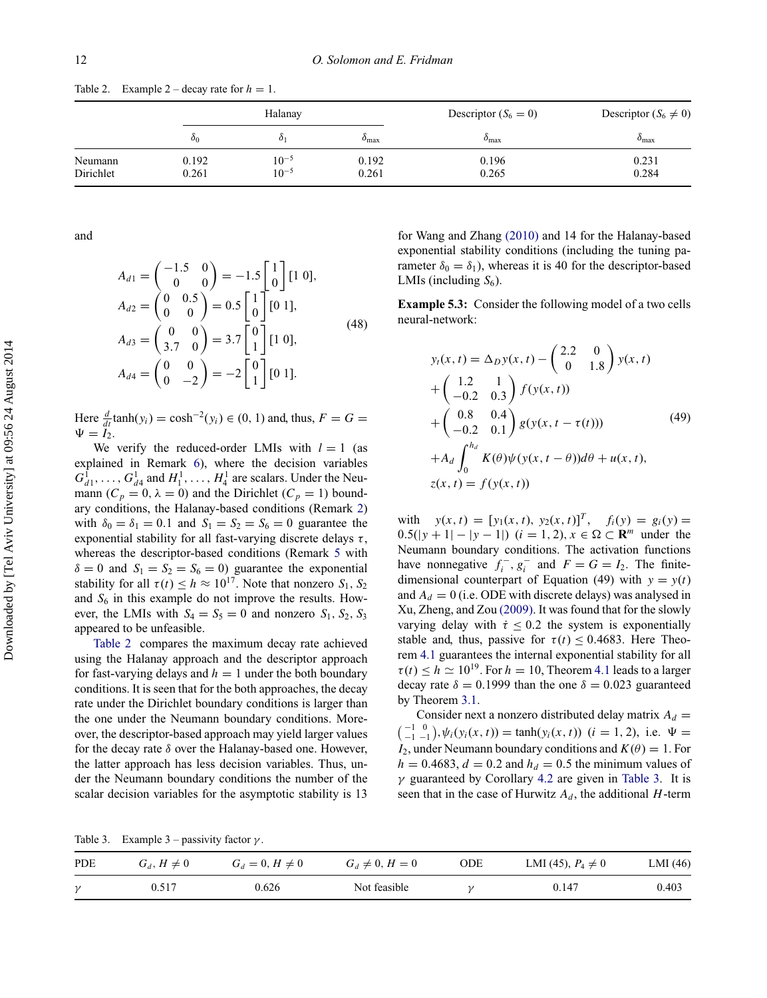|                      |                | Halanay                |                  | Descriptor $(S_6 = 0)$ | Descriptor $(S_6 \neq 0)$ |  |
|----------------------|----------------|------------------------|------------------|------------------------|---------------------------|--|
|                      | δ0             | $\delta_1$             | $o_{\text{max}}$ | $\delta_{\text{max}}$  | $o_{\text{max}}$          |  |
| Neumann<br>Dirichlet | 0.192<br>0.261 | $10^{-5}$<br>$10^{-5}$ | 0.192<br>0.261   | 0.196<br>0.265         | 0.231<br>0.284            |  |

<span id="page-12-1"></span>Table 2. Example  $2 -$  decay rate for  $h = 1$ .

and

$$
A_{d1} = \begin{pmatrix} -1.5 & 0 \\ 0 & 0 \end{pmatrix} = -1.5 \begin{bmatrix} 1 \\ 0 \end{bmatrix} [1 \ 0],
$$
  
\n
$$
A_{d2} = \begin{pmatrix} 0 & 0.5 \\ 0 & 0 \end{pmatrix} = 0.5 \begin{bmatrix} 1 \\ 0 \end{bmatrix} [0 \ 1],
$$
  
\n
$$
A_{d3} = \begin{pmatrix} 0 & 0 \\ 3.7 & 0 \end{pmatrix} = 3.7 \begin{bmatrix} 0 \\ 1 \end{bmatrix} [1 \ 0],
$$
  
\n
$$
A_{d4} = \begin{pmatrix} 0 & 0 \\ 0 & -2 \end{pmatrix} = -2 \begin{bmatrix} 0 \\ 1 \end{bmatrix} [0 \ 1].
$$
  
\n(48)

Here  $\frac{d}{dt}$  tanh(*y<sub>i</sub>*) = cosh<sup>-2</sup>(*y<sub>i</sub>*) ∈ (0, 1) and, thus, *F* = *G* =  $\Psi = I_2.$ 

We verify the reduced-order LMIs with  $l = 1$  (as explained in Remark [6\)](#page-9-1), where the decision variables  $G_{d1}^1, \ldots, G_{d4}^1$  and  $H_1^1, \ldots, H_4^1$  are scalars. Under the Neumann  $(C_p = 0, \lambda = 0)$  and the Dirichlet  $(C_p = 1)$  boundary conditions, the Halanay-based conditions (Remark [2\)](#page-5-1) with  $\delta_0 = \delta_1 = 0.1$  and  $S_1 = S_2 = S_6 = 0$  guarantee the exponential stability for all fast-varying discrete delays *τ* , whereas the descriptor-based conditions (Remark [5](#page-9-2) with  $\delta = 0$  and  $S_1 = S_2 = S_6 = 0$ ) guarantee the exponential stability for all  $\tau(t) \leq h \approx 10^{17}$ . Note that nonzero  $S_1$ ,  $S_2$ and  $S_6$  in this example do not improve the results. However, the LMIs with  $S_4 = S_5 = 0$  and nonzero  $S_1$ ,  $S_2$ ,  $S_3$ appeared to be unfeasible.

[Table 2](#page-12-1) compares the maximum decay rate achieved using the Halanay approach and the descriptor approach for fast-varying delays and  $h = 1$  under the both boundary conditions. It is seen that for the both approaches, the decay rate under the Dirichlet boundary conditions is larger than the one under the Neumann boundary conditions. Moreover, the descriptor-based approach may yield larger values for the decay rate *δ* over the Halanay-based one. However, the latter approach has less decision variables. Thus, under the Neumann boundary conditions the number of the scalar decision variables for the asymptotic stability is 13 for Wang and Zhang [\(2010\)](#page-13-16) and 14 for the Halanay-based exponential stability conditions (including the tuning parameter  $\delta_0 = \delta_1$ , whereas it is 40 for the descriptor-based LMIs (including  $S_6$ ).

<span id="page-12-0"></span>**Example 5.3:** Consider the following model of a two cells neural-network:

$$
y_t(x, t) = \Delta_D y(x, t) - \begin{pmatrix} 2.2 & 0 \\ 0 & 1.8 \end{pmatrix} y(x, t)
$$
  
+ 
$$
\begin{pmatrix} 1.2 & 1 \\ -0.2 & 0.3 \end{pmatrix} f(y(x, t))
$$
  
+ 
$$
\begin{pmatrix} 0.8 & 0.4 \\ -0.2 & 0.1 \end{pmatrix} g(y(x, t - \tau(t)))
$$
  
+ 
$$
A_d \int_0^{h_d} K(\theta) \psi(y(x, t - \theta)) d\theta + u(x, t),
$$
  

$$
z(x, t) = f(y(x, t))
$$
 (49)

with  $y(x, t) = [y_1(x, t), y_2(x, t)]^T$ ,  $f_i(y) = g_i(y) =$  $0.5(|y + 1| - |y - 1|)$  (*i* = 1*,* 2*), x* ∈ Ω ⊂ **R**<sup>*m*</sup> under the Neumann boundary conditions. The activation functions have nonnegative  $f_i^-$ ,  $g_i^-$  and  $F = G = I_2$ . The finitedimensional counterpart of Equation (49) with  $y = y(t)$ and  $A_d = 0$  (i.e. ODE with discrete delays) was analysed in Xu, Zheng, and Zou [\(2009\).](#page-13-17) It was found that for the slowly varying delay with  $\dot{\tau} \leq 0.2$  the system is exponentially stable and, thus, passive for  $\tau(t) \leq 0.4683$ . Here Theorem [4.1](#page-8-0) guarantees the internal exponential stability for all  $\tau(t) \leq h \simeq 10^{19}$ . For  $h = 10$ , Theorem [4.1](#page-8-0) leads to a larger decay rate  $\delta = 0.1999$  than the one  $\delta = 0.023$  guaranteed by Theorem [3.1.](#page-5-0)

Consider next a nonzero distributed delay matrix  $A_d =$  $\binom{-1}{-1}$ ,  $\psi_i(y_i(x, t)) = \tanh(y_i(x, t))$  (*i* = 1, 2), i.e.  $\Psi =$ *I*<sub>2</sub>, under Neumann boundary conditions and  $K(\theta) = 1$ . For  $h = 0.4683$ ,  $d = 0.2$  and  $h_d = 0.5$  the minimum values of *γ* guaranteed by Corollary [4.2](#page-10-0) are given in [Table 3.](#page-12-2) It is seen that in the case of Hurwitz  $A_d$ , the additional  $H$ -term

<span id="page-12-2"></span>Table 3. Example 3 – passivity factor  $\gamma$ .

| <b>PDE</b>   | $G_d$ , $H \neq 0$ | $G_d = 0, H \neq 0$ | $G_d \neq 0, H = 0$ | ODE | LMI (45), $P_4 \neq 0$ | LMI(46) |
|--------------|--------------------|---------------------|---------------------|-----|------------------------|---------|
| $\mathcal V$ | 0.517              | 0.626               | Not feasible        |     | 0.147                  | 0.403   |